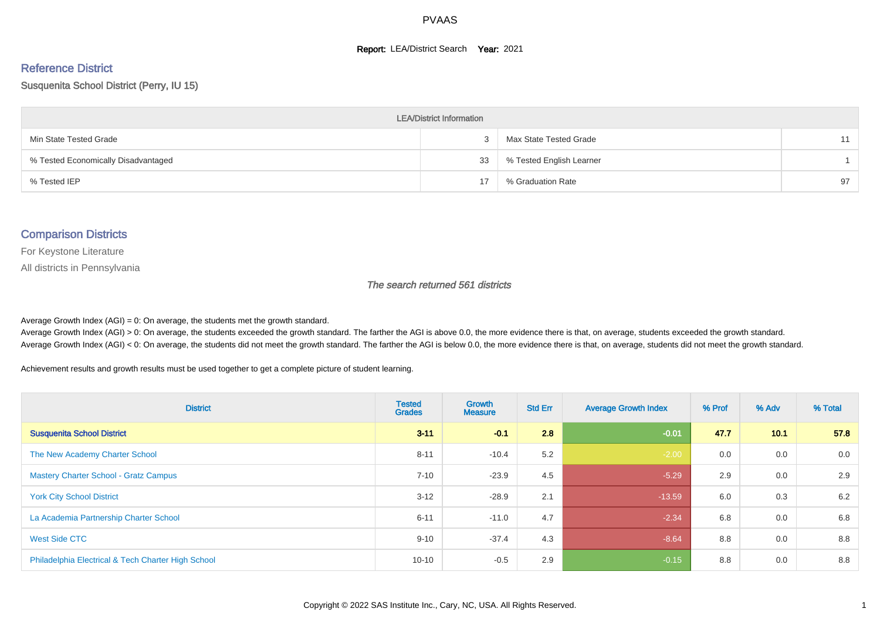#### **Report: LEA/District Search Year: 2021**

# Reference District

#### Susquenita School District (Perry, IU 15)

| <b>LEA/District Information</b>     |    |                          |    |  |  |  |  |  |  |  |
|-------------------------------------|----|--------------------------|----|--|--|--|--|--|--|--|
| Min State Tested Grade              |    | Max State Tested Grade   | 11 |  |  |  |  |  |  |  |
| % Tested Economically Disadvantaged | 33 | % Tested English Learner |    |  |  |  |  |  |  |  |
| % Tested IEP                        | 17 | % Graduation Rate        | 97 |  |  |  |  |  |  |  |

#### Comparison Districts

For Keystone Literature

All districts in Pennsylvania

The search returned 561 districts

Average Growth Index  $(AGI) = 0$ : On average, the students met the growth standard.

Average Growth Index (AGI) > 0: On average, the students exceeded the growth standard. The farther the AGI is above 0.0, the more evidence there is that, on average, students exceeded the growth standard. Average Growth Index (AGI) < 0: On average, the students did not meet the growth standard. The farther the AGI is below 0.0, the more evidence there is that, on average, students did not meet the growth standard.

Achievement results and growth results must be used together to get a complete picture of student learning.

| <b>District</b>                                    | <b>Tested</b><br><b>Grades</b> | Growth<br><b>Measure</b> | <b>Std Err</b> | <b>Average Growth Index</b> | % Prof | % Adv | % Total |
|----------------------------------------------------|--------------------------------|--------------------------|----------------|-----------------------------|--------|-------|---------|
| <b>Susquenita School District</b>                  | $3 - 11$                       | $-0.1$                   | 2.8            | $-0.01$                     | 47.7   | 10.1  | 57.8    |
| The New Academy Charter School                     | $8 - 11$                       | $-10.4$                  | 5.2            | $-2.00$                     | 0.0    | 0.0   | 0.0     |
| <b>Mastery Charter School - Gratz Campus</b>       | $7 - 10$                       | $-23.9$                  | 4.5            | $-5.29$                     | 2.9    | 0.0   | 2.9     |
| <b>York City School District</b>                   | $3 - 12$                       | $-28.9$                  | 2.1            | $-13.59$                    | 6.0    | 0.3   | 6.2     |
| La Academia Partnership Charter School             | $6 - 11$                       | $-11.0$                  | 4.7            | $-2.34$                     | 6.8    | 0.0   | 6.8     |
| West Side CTC                                      | $9 - 10$                       | $-37.4$                  | 4.3            | $-8.64$                     | 8.8    | 0.0   | 8.8     |
| Philadelphia Electrical & Tech Charter High School | $10 - 10$                      | $-0.5$                   | 2.9            | $-0.15$                     | 8.8    | 0.0   | 8.8     |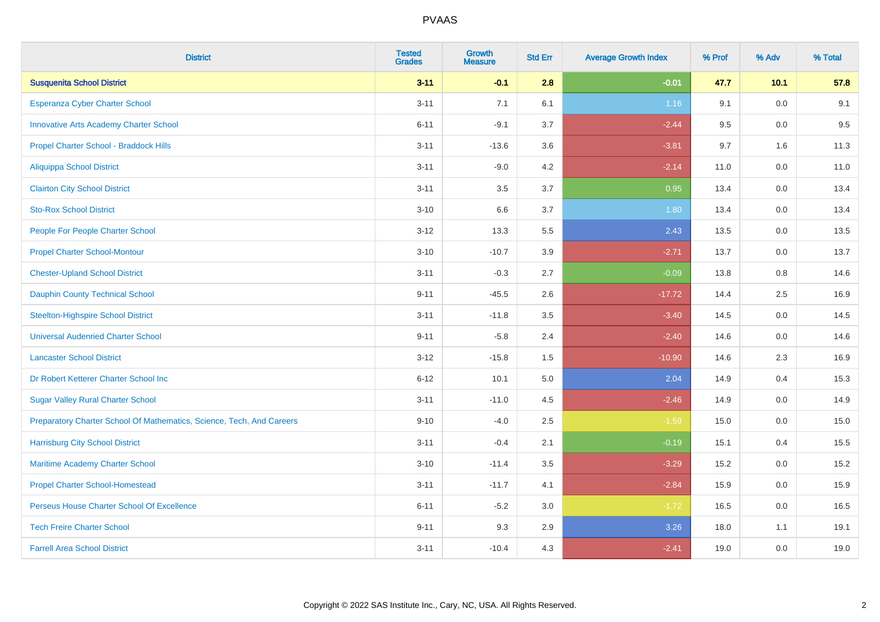| <b>District</b>                                                       | <b>Tested</b><br><b>Grades</b> | <b>Growth</b><br><b>Measure</b> | <b>Std Err</b> | <b>Average Growth Index</b> | % Prof | % Adv   | % Total |
|-----------------------------------------------------------------------|--------------------------------|---------------------------------|----------------|-----------------------------|--------|---------|---------|
| <b>Susquenita School District</b>                                     | $3 - 11$                       | $-0.1$                          | 2.8            | $-0.01$                     | 47.7   | 10.1    | 57.8    |
| Esperanza Cyber Charter School                                        | $3 - 11$                       | 7.1                             | 6.1            | 1.16                        | 9.1    | 0.0     | 9.1     |
| <b>Innovative Arts Academy Charter School</b>                         | $6 - 11$                       | $-9.1$                          | 3.7            | $-2.44$                     | 9.5    | 0.0     | 9.5     |
| Propel Charter School - Braddock Hills                                | $3 - 11$                       | $-13.6$                         | 3.6            | $-3.81$                     | 9.7    | 1.6     | 11.3    |
| <b>Aliquippa School District</b>                                      | $3 - 11$                       | $-9.0$                          | 4.2            | $-2.14$                     | 11.0   | 0.0     | 11.0    |
| <b>Clairton City School District</b>                                  | $3 - 11$                       | 3.5                             | 3.7            | 0.95                        | 13.4   | 0.0     | 13.4    |
| <b>Sto-Rox School District</b>                                        | $3 - 10$                       | 6.6                             | 3.7            | 1.80                        | 13.4   | 0.0     | 13.4    |
| People For People Charter School                                      | $3 - 12$                       | 13.3                            | 5.5            | 2.43                        | 13.5   | 0.0     | 13.5    |
| <b>Propel Charter School-Montour</b>                                  | $3 - 10$                       | $-10.7$                         | 3.9            | $-2.71$                     | 13.7   | 0.0     | 13.7    |
| <b>Chester-Upland School District</b>                                 | $3 - 11$                       | $-0.3$                          | 2.7            | $-0.09$                     | 13.8   | 0.8     | 14.6    |
| <b>Dauphin County Technical School</b>                                | $9 - 11$                       | $-45.5$                         | 2.6            | $-17.72$                    | 14.4   | 2.5     | 16.9    |
| <b>Steelton-Highspire School District</b>                             | $3 - 11$                       | $-11.8$                         | 3.5            | $-3.40$                     | 14.5   | 0.0     | 14.5    |
| <b>Universal Audenried Charter School</b>                             | $9 - 11$                       | $-5.8$                          | 2.4            | $-2.40$                     | 14.6   | 0.0     | 14.6    |
| <b>Lancaster School District</b>                                      | $3 - 12$                       | $-15.8$                         | $1.5\,$        | $-10.90$                    | 14.6   | 2.3     | 16.9    |
| Dr Robert Ketterer Charter School Inc                                 | $6 - 12$                       | 10.1                            | $5.0\,$        | 2.04                        | 14.9   | 0.4     | 15.3    |
| <b>Sugar Valley Rural Charter School</b>                              | $3 - 11$                       | $-11.0$                         | 4.5            | $-2.46$                     | 14.9   | $0.0\,$ | 14.9    |
| Preparatory Charter School Of Mathematics, Science, Tech, And Careers | $9 - 10$                       | $-4.0$                          | 2.5            | $-1.59$                     | 15.0   | 0.0     | 15.0    |
| <b>Harrisburg City School District</b>                                | $3 - 11$                       | $-0.4$                          | 2.1            | $-0.19$                     | 15.1   | 0.4     | 15.5    |
| Maritime Academy Charter School                                       | $3 - 10$                       | $-11.4$                         | 3.5            | $-3.29$                     | 15.2   | 0.0     | 15.2    |
| <b>Propel Charter School-Homestead</b>                                | $3 - 11$                       | $-11.7$                         | 4.1            | $-2.84$                     | 15.9   | 0.0     | 15.9    |
| Perseus House Charter School Of Excellence                            | $6 - 11$                       | $-5.2$                          | 3.0            | $-1.72$                     | 16.5   | 0.0     | 16.5    |
| <b>Tech Freire Charter School</b>                                     | $9 - 11$                       | 9.3                             | 2.9            | 3.26                        | 18.0   | 1.1     | 19.1    |
| <b>Farrell Area School District</b>                                   | $3 - 11$                       | $-10.4$                         | 4.3            | $-2.41$                     | 19.0   | 0.0     | 19.0    |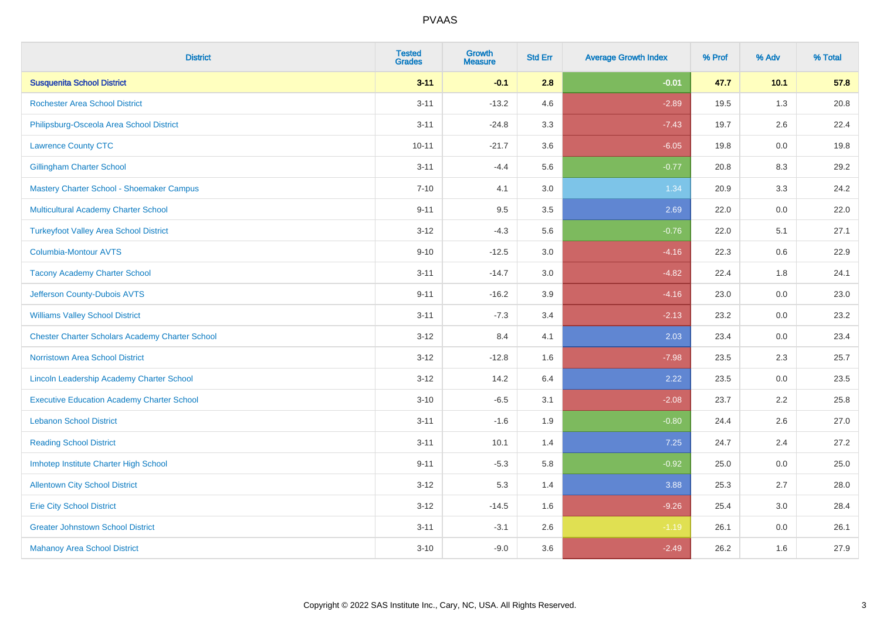| <b>District</b>                                        | <b>Tested</b><br><b>Grades</b> | <b>Growth</b><br><b>Measure</b> | <b>Std Err</b> | <b>Average Growth Index</b> | % Prof | % Adv   | % Total |
|--------------------------------------------------------|--------------------------------|---------------------------------|----------------|-----------------------------|--------|---------|---------|
| <b>Susquenita School District</b>                      | $3 - 11$                       | $-0.1$                          | 2.8            | $-0.01$                     | 47.7   | 10.1    | 57.8    |
| <b>Rochester Area School District</b>                  | $3 - 11$                       | $-13.2$                         | 4.6            | $-2.89$                     | 19.5   | 1.3     | 20.8    |
| Philipsburg-Osceola Area School District               | $3 - 11$                       | $-24.8$                         | 3.3            | $-7.43$                     | 19.7   | 2.6     | 22.4    |
| <b>Lawrence County CTC</b>                             | $10 - 11$                      | $-21.7$                         | 3.6            | $-6.05$                     | 19.8   | $0.0\,$ | 19.8    |
| <b>Gillingham Charter School</b>                       | $3 - 11$                       | $-4.4$                          | 5.6            | $-0.77$                     | 20.8   | 8.3     | 29.2    |
| Mastery Charter School - Shoemaker Campus              | $7 - 10$                       | 4.1                             | 3.0            | 1.34                        | 20.9   | 3.3     | 24.2    |
| Multicultural Academy Charter School                   | $9 - 11$                       | 9.5                             | 3.5            | 2.69                        | 22.0   | $0.0\,$ | 22.0    |
| <b>Turkeyfoot Valley Area School District</b>          | $3 - 12$                       | $-4.3$                          | 5.6            | $-0.76$                     | 22.0   | 5.1     | 27.1    |
| <b>Columbia-Montour AVTS</b>                           | $9 - 10$                       | $-12.5$                         | 3.0            | $-4.16$                     | 22.3   | 0.6     | 22.9    |
| <b>Tacony Academy Charter School</b>                   | $3 - 11$                       | $-14.7$                         | 3.0            | $-4.82$                     | 22.4   | 1.8     | 24.1    |
| Jefferson County-Dubois AVTS                           | $9 - 11$                       | $-16.2$                         | 3.9            | $-4.16$                     | 23.0   | 0.0     | 23.0    |
| <b>Williams Valley School District</b>                 | $3 - 11$                       | $-7.3$                          | 3.4            | $-2.13$                     | 23.2   | 0.0     | 23.2    |
| <b>Chester Charter Scholars Academy Charter School</b> | $3 - 12$                       | 8.4                             | 4.1            | 2.03                        | 23.4   | 0.0     | 23.4    |
| <b>Norristown Area School District</b>                 | $3 - 12$                       | $-12.8$                         | 1.6            | $-7.98$                     | 23.5   | 2.3     | 25.7    |
| <b>Lincoln Leadership Academy Charter School</b>       | $3 - 12$                       | 14.2                            | 6.4            | 2.22                        | 23.5   | 0.0     | 23.5    |
| <b>Executive Education Academy Charter School</b>      | $3 - 10$                       | $-6.5$                          | 3.1            | $-2.08$                     | 23.7   | 2.2     | 25.8    |
| <b>Lebanon School District</b>                         | $3 - 11$                       | $-1.6$                          | 1.9            | $-0.80$                     | 24.4   | 2.6     | 27.0    |
| <b>Reading School District</b>                         | $3 - 11$                       | 10.1                            | 1.4            | 7.25                        | 24.7   | 2.4     | 27.2    |
| Imhotep Institute Charter High School                  | $9 - 11$                       | $-5.3$                          | 5.8            | $-0.92$                     | 25.0   | 0.0     | 25.0    |
| <b>Allentown City School District</b>                  | $3 - 12$                       | 5.3                             | 1.4            | 3.88                        | 25.3   | 2.7     | 28.0    |
| <b>Erie City School District</b>                       | $3 - 12$                       | $-14.5$                         | 1.6            | $-9.26$                     | 25.4   | 3.0     | 28.4    |
| <b>Greater Johnstown School District</b>               | $3 - 11$                       | $-3.1$                          | 2.6            | $-1.19$                     | 26.1   | 0.0     | 26.1    |
| <b>Mahanoy Area School District</b>                    | $3 - 10$                       | $-9.0$                          | 3.6            | $-2.49$                     | 26.2   | 1.6     | 27.9    |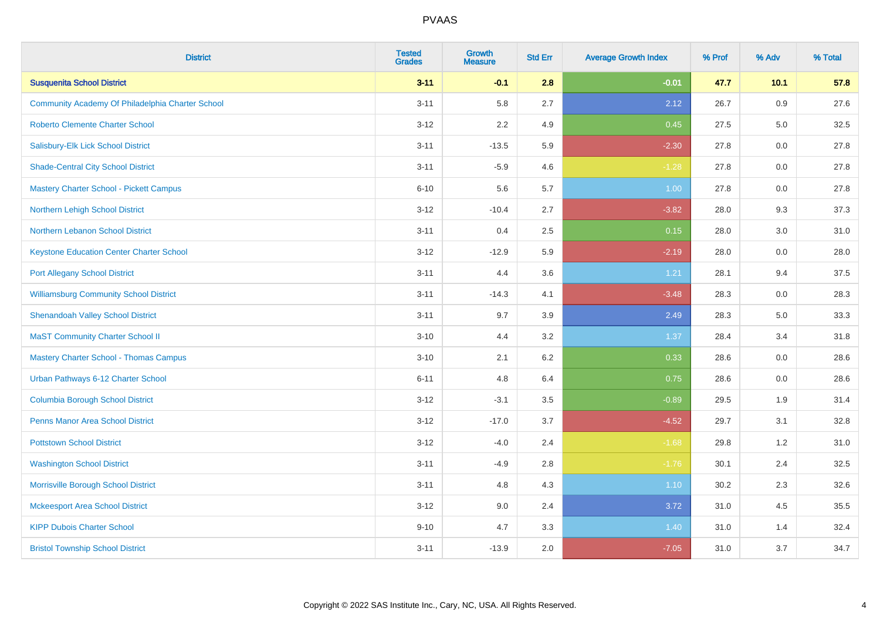| <b>District</b>                                  | <b>Tested</b><br><b>Grades</b> | <b>Growth</b><br><b>Measure</b> | <b>Std Err</b> | <b>Average Growth Index</b> | % Prof | % Adv | % Total |
|--------------------------------------------------|--------------------------------|---------------------------------|----------------|-----------------------------|--------|-------|---------|
| <b>Susquenita School District</b>                | $3 - 11$                       | $-0.1$                          | 2.8            | $-0.01$                     | 47.7   | 10.1  | 57.8    |
| Community Academy Of Philadelphia Charter School | $3 - 11$                       | 5.8                             | 2.7            | 2.12                        | 26.7   | 0.9   | 27.6    |
| <b>Roberto Clemente Charter School</b>           | $3 - 12$                       | 2.2                             | 4.9            | 0.45                        | 27.5   | 5.0   | 32.5    |
| Salisbury-Elk Lick School District               | $3 - 11$                       | $-13.5$                         | 5.9            | $-2.30$                     | 27.8   | 0.0   | 27.8    |
| <b>Shade-Central City School District</b>        | $3 - 11$                       | $-5.9$                          | 4.6            | $-1.28$                     | 27.8   | 0.0   | 27.8    |
| <b>Mastery Charter School - Pickett Campus</b>   | $6 - 10$                       | 5.6                             | 5.7            | 1.00                        | 27.8   | 0.0   | 27.8    |
| Northern Lehigh School District                  | $3 - 12$                       | $-10.4$                         | 2.7            | $-3.82$                     | 28.0   | 9.3   | 37.3    |
| Northern Lebanon School District                 | $3 - 11$                       | 0.4                             | 2.5            | 0.15                        | 28.0   | 3.0   | 31.0    |
| <b>Keystone Education Center Charter School</b>  | $3 - 12$                       | $-12.9$                         | 5.9            | $-2.19$                     | 28.0   | 0.0   | 28.0    |
| <b>Port Allegany School District</b>             | $3 - 11$                       | 4.4                             | 3.6            | 1.21                        | 28.1   | 9.4   | 37.5    |
| <b>Williamsburg Community School District</b>    | $3 - 11$                       | $-14.3$                         | 4.1            | $-3.48$                     | 28.3   | 0.0   | 28.3    |
| <b>Shenandoah Valley School District</b>         | $3 - 11$                       | 9.7                             | 3.9            | 2.49                        | 28.3   | 5.0   | 33.3    |
| <b>MaST Community Charter School II</b>          | $3 - 10$                       | 4.4                             | 3.2            | 1.37                        | 28.4   | 3.4   | 31.8    |
| <b>Mastery Charter School - Thomas Campus</b>    | $3 - 10$                       | 2.1                             | 6.2            | 0.33                        | 28.6   | 0.0   | 28.6    |
| Urban Pathways 6-12 Charter School               | $6 - 11$                       | 4.8                             | 6.4            | 0.75                        | 28.6   | 0.0   | 28.6    |
| <b>Columbia Borough School District</b>          | $3 - 12$                       | $-3.1$                          | 3.5            | $-0.89$                     | 29.5   | 1.9   | 31.4    |
| <b>Penns Manor Area School District</b>          | $3 - 12$                       | $-17.0$                         | 3.7            | $-4.52$                     | 29.7   | 3.1   | 32.8    |
| <b>Pottstown School District</b>                 | $3 - 12$                       | $-4.0$                          | 2.4            | $-1.68$                     | 29.8   | 1.2   | 31.0    |
| <b>Washington School District</b>                | $3 - 11$                       | $-4.9$                          | 2.8            | $-1.76$                     | 30.1   | 2.4   | 32.5    |
| Morrisville Borough School District              | $3 - 11$                       | 4.8                             | 4.3            | 1.10                        | 30.2   | 2.3   | 32.6    |
| <b>Mckeesport Area School District</b>           | $3 - 12$                       | 9.0                             | 2.4            | 3.72                        | 31.0   | 4.5   | 35.5    |
| <b>KIPP Dubois Charter School</b>                | $9 - 10$                       | 4.7                             | 3.3            | 1.40                        | 31.0   | 1.4   | 32.4    |
| <b>Bristol Township School District</b>          | $3 - 11$                       | $-13.9$                         | 2.0            | $-7.05$                     | 31.0   | 3.7   | 34.7    |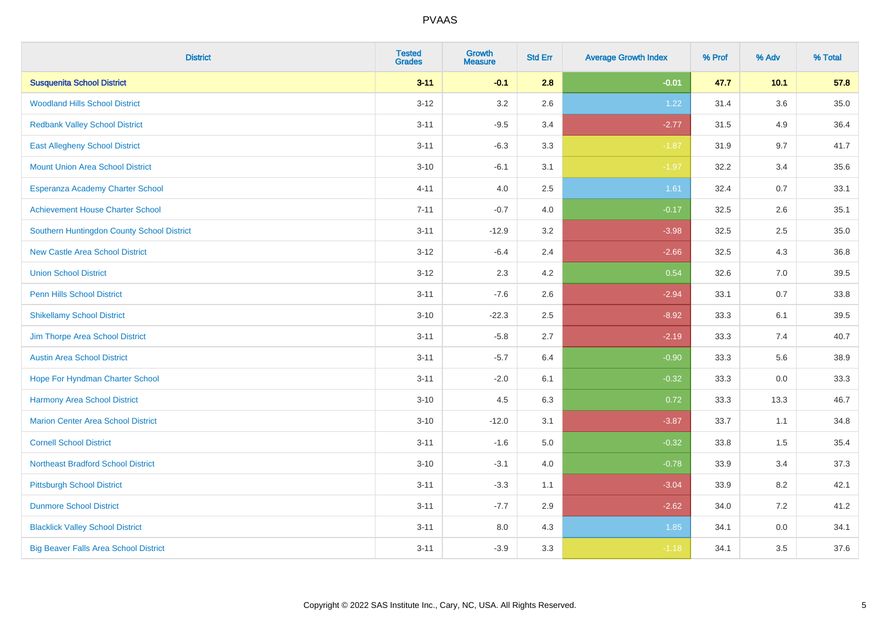| <b>District</b>                              | <b>Tested</b><br><b>Grades</b> | <b>Growth</b><br><b>Measure</b> | <b>Std Err</b> | <b>Average Growth Index</b> | % Prof | % Adv | % Total |
|----------------------------------------------|--------------------------------|---------------------------------|----------------|-----------------------------|--------|-------|---------|
| <b>Susquenita School District</b>            | $3 - 11$                       | $-0.1$                          | 2.8            | $-0.01$                     | 47.7   | 10.1  | 57.8    |
| <b>Woodland Hills School District</b>        | $3 - 12$                       | 3.2                             | 2.6            | 1.22                        | 31.4   | 3.6   | 35.0    |
| <b>Redbank Valley School District</b>        | $3 - 11$                       | $-9.5$                          | 3.4            | $-2.77$                     | 31.5   | 4.9   | 36.4    |
| <b>East Allegheny School District</b>        | $3 - 11$                       | $-6.3$                          | 3.3            | $-1.87$                     | 31.9   | 9.7   | 41.7    |
| <b>Mount Union Area School District</b>      | $3 - 10$                       | $-6.1$                          | 3.1            | $-1.97$                     | 32.2   | 3.4   | 35.6    |
| Esperanza Academy Charter School             | $4 - 11$                       | 4.0                             | 2.5            | 1.61                        | 32.4   | 0.7   | 33.1    |
| <b>Achievement House Charter School</b>      | $7 - 11$                       | $-0.7$                          | 4.0            | $-0.17$                     | 32.5   | 2.6   | 35.1    |
| Southern Huntingdon County School District   | $3 - 11$                       | $-12.9$                         | 3.2            | $-3.98$                     | 32.5   | 2.5   | 35.0    |
| <b>New Castle Area School District</b>       | $3 - 12$                       | $-6.4$                          | 2.4            | $-2.66$                     | 32.5   | 4.3   | 36.8    |
| <b>Union School District</b>                 | $3 - 12$                       | 2.3                             | 4.2            | 0.54                        | 32.6   | 7.0   | 39.5    |
| <b>Penn Hills School District</b>            | $3 - 11$                       | $-7.6$                          | 2.6            | $-2.94$                     | 33.1   | 0.7   | 33.8    |
| <b>Shikellamy School District</b>            | $3 - 10$                       | $-22.3$                         | 2.5            | $-8.92$                     | 33.3   | 6.1   | 39.5    |
| Jim Thorpe Area School District              | $3 - 11$                       | $-5.8$                          | 2.7            | $-2.19$                     | 33.3   | 7.4   | 40.7    |
| <b>Austin Area School District</b>           | $3 - 11$                       | $-5.7$                          | 6.4            | $-0.90$                     | 33.3   | 5.6   | 38.9    |
| Hope For Hyndman Charter School              | $3 - 11$                       | $-2.0$                          | 6.1            | $-0.32$                     | 33.3   | 0.0   | 33.3    |
| Harmony Area School District                 | $3 - 10$                       | 4.5                             | 6.3            | 0.72                        | 33.3   | 13.3  | 46.7    |
| <b>Marion Center Area School District</b>    | $3 - 10$                       | $-12.0$                         | 3.1            | $-3.87$                     | 33.7   | 1.1   | 34.8    |
| <b>Cornell School District</b>               | $3 - 11$                       | $-1.6$                          | 5.0            | $-0.32$                     | 33.8   | 1.5   | 35.4    |
| <b>Northeast Bradford School District</b>    | $3 - 10$                       | $-3.1$                          | $4.0\,$        | $-0.78$                     | 33.9   | 3.4   | 37.3    |
| <b>Pittsburgh School District</b>            | $3 - 11$                       | $-3.3$                          | 1.1            | $-3.04$                     | 33.9   | 8.2   | 42.1    |
| <b>Dunmore School District</b>               | $3 - 11$                       | $-7.7$                          | 2.9            | $-2.62$                     | 34.0   | 7.2   | 41.2    |
| <b>Blacklick Valley School District</b>      | $3 - 11$                       | 8.0                             | 4.3            | 1.85                        | 34.1   | 0.0   | 34.1    |
| <b>Big Beaver Falls Area School District</b> | $3 - 11$                       | $-3.9$                          | 3.3            | $-1.18$                     | 34.1   | 3.5   | 37.6    |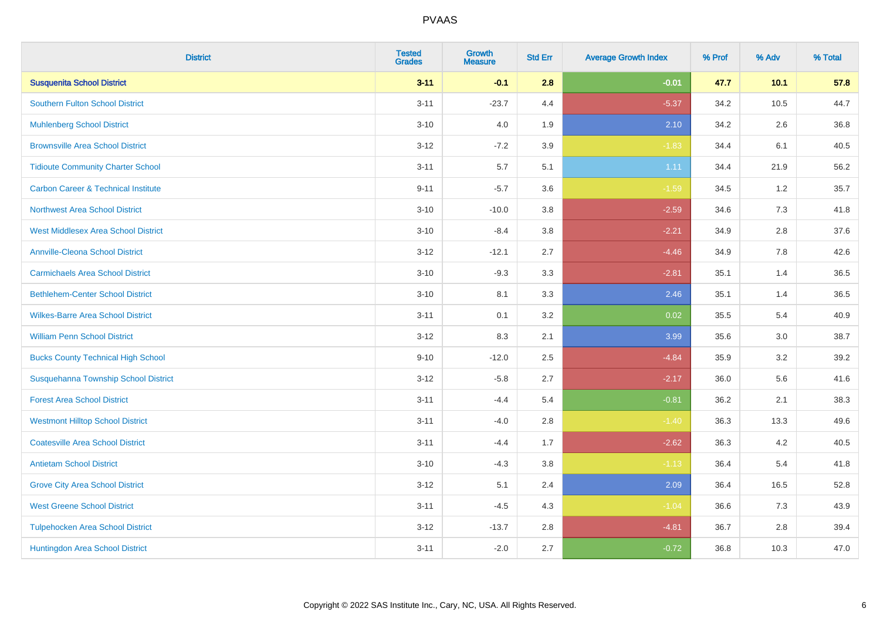| <b>District</b>                                | <b>Tested</b><br><b>Grades</b> | <b>Growth</b><br><b>Measure</b> | <b>Std Err</b> | <b>Average Growth Index</b> | % Prof | % Adv | % Total |
|------------------------------------------------|--------------------------------|---------------------------------|----------------|-----------------------------|--------|-------|---------|
| <b>Susquenita School District</b>              | $3 - 11$                       | $-0.1$                          | 2.8            | $-0.01$                     | 47.7   | 10.1  | 57.8    |
| <b>Southern Fulton School District</b>         | $3 - 11$                       | $-23.7$                         | 4.4            | $-5.37$                     | 34.2   | 10.5  | 44.7    |
| <b>Muhlenberg School District</b>              | $3 - 10$                       | 4.0                             | 1.9            | 2.10                        | 34.2   | 2.6   | 36.8    |
| <b>Brownsville Area School District</b>        | $3-12$                         | $-7.2$                          | 3.9            | $-1.83$                     | 34.4   | 6.1   | 40.5    |
| <b>Tidioute Community Charter School</b>       | $3 - 11$                       | 5.7                             | 5.1            | 1.11                        | 34.4   | 21.9  | 56.2    |
| <b>Carbon Career &amp; Technical Institute</b> | $9 - 11$                       | $-5.7$                          | 3.6            | $-1.59$                     | 34.5   | 1.2   | 35.7    |
| Northwest Area School District                 | $3 - 10$                       | $-10.0$                         | 3.8            | $-2.59$                     | 34.6   | 7.3   | 41.8    |
| <b>West Middlesex Area School District</b>     | $3 - 10$                       | $-8.4$                          | 3.8            | $-2.21$                     | 34.9   | 2.8   | 37.6    |
| <b>Annville-Cleona School District</b>         | $3 - 12$                       | $-12.1$                         | 2.7            | $-4.46$                     | 34.9   | 7.8   | 42.6    |
| <b>Carmichaels Area School District</b>        | $3 - 10$                       | $-9.3$                          | 3.3            | $-2.81$                     | 35.1   | 1.4   | 36.5    |
| <b>Bethlehem-Center School District</b>        | $3 - 10$                       | 8.1                             | 3.3            | 2.46                        | 35.1   | 1.4   | 36.5    |
| <b>Wilkes-Barre Area School District</b>       | $3 - 11$                       | 0.1                             | 3.2            | 0.02                        | 35.5   | 5.4   | 40.9    |
| <b>William Penn School District</b>            | $3 - 12$                       | 8.3                             | 2.1            | 3.99                        | 35.6   | 3.0   | 38.7    |
| <b>Bucks County Technical High School</b>      | $9 - 10$                       | $-12.0$                         | 2.5            | $-4.84$                     | 35.9   | 3.2   | 39.2    |
| Susquehanna Township School District           | $3 - 12$                       | $-5.8$                          | 2.7            | $-2.17$                     | 36.0   | 5.6   | 41.6    |
| <b>Forest Area School District</b>             | $3 - 11$                       | $-4.4$                          | 5.4            | $-0.81$                     | 36.2   | 2.1   | 38.3    |
| <b>Westmont Hilltop School District</b>        | $3 - 11$                       | $-4.0$                          | 2.8            | $-1.40$                     | 36.3   | 13.3  | 49.6    |
| <b>Coatesville Area School District</b>        | $3 - 11$                       | $-4.4$                          | 1.7            | $-2.62$                     | 36.3   | 4.2   | 40.5    |
| <b>Antietam School District</b>                | $3 - 10$                       | $-4.3$                          | 3.8            | $-1.13$                     | 36.4   | 5.4   | 41.8    |
| <b>Grove City Area School District</b>         | $3 - 12$                       | 5.1                             | 2.4            | 2.09                        | 36.4   | 16.5  | 52.8    |
| <b>West Greene School District</b>             | $3 - 11$                       | $-4.5$                          | 4.3            | $-1.04$                     | 36.6   | 7.3   | 43.9    |
| <b>Tulpehocken Area School District</b>        | $3 - 12$                       | $-13.7$                         | 2.8            | $-4.81$                     | 36.7   | 2.8   | 39.4    |
| Huntingdon Area School District                | $3 - 11$                       | $-2.0$                          | 2.7            | $-0.72$                     | 36.8   | 10.3  | 47.0    |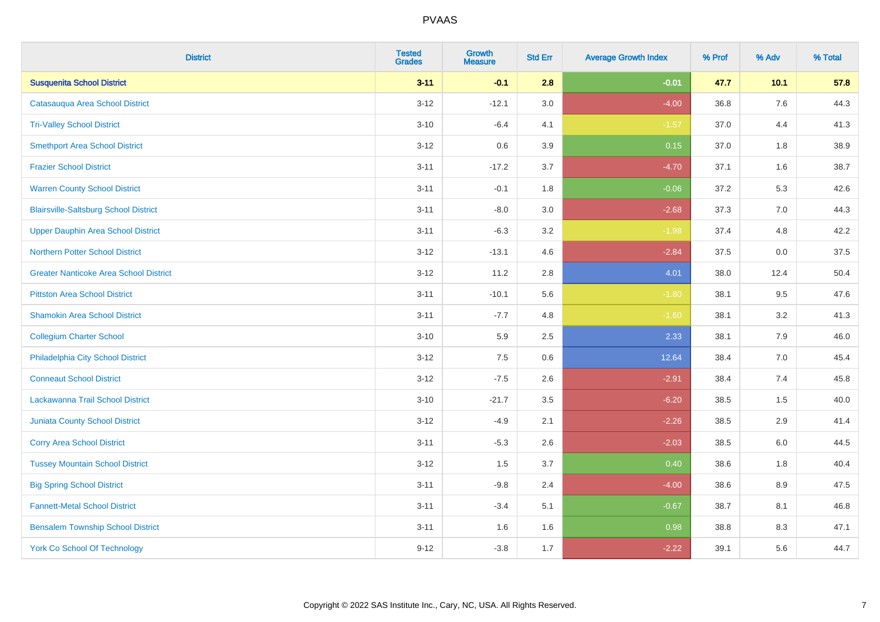| <b>District</b>                               | <b>Tested</b><br><b>Grades</b> | <b>Growth</b><br><b>Measure</b> | <b>Std Err</b> | <b>Average Growth Index</b> | % Prof | % Adv   | % Total |
|-----------------------------------------------|--------------------------------|---------------------------------|----------------|-----------------------------|--------|---------|---------|
| <b>Susquenita School District</b>             | $3 - 11$                       | $-0.1$                          | 2.8            | $-0.01$                     | 47.7   | 10.1    | 57.8    |
| Catasauqua Area School District               | $3 - 12$                       | $-12.1$                         | 3.0            | $-4.00$                     | 36.8   | 7.6     | 44.3    |
| <b>Tri-Valley School District</b>             | $3 - 10$                       | $-6.4$                          | 4.1            | $-1.57$                     | 37.0   | 4.4     | 41.3    |
| <b>Smethport Area School District</b>         | $3 - 12$                       | 0.6                             | 3.9            | 0.15                        | 37.0   | 1.8     | 38.9    |
| <b>Frazier School District</b>                | $3 - 11$                       | $-17.2$                         | 3.7            | $-4.70$                     | 37.1   | 1.6     | 38.7    |
| <b>Warren County School District</b>          | $3 - 11$                       | $-0.1$                          | 1.8            | $-0.06$                     | 37.2   | 5.3     | 42.6    |
| <b>Blairsville-Saltsburg School District</b>  | $3 - 11$                       | $-8.0$                          | 3.0            | $-2.68$                     | 37.3   | 7.0     | 44.3    |
| <b>Upper Dauphin Area School District</b>     | $3 - 11$                       | $-6.3$                          | 3.2            | $-1.98$                     | 37.4   | 4.8     | 42.2    |
| <b>Northern Potter School District</b>        | $3 - 12$                       | $-13.1$                         | 4.6            | $-2.84$                     | 37.5   | 0.0     | 37.5    |
| <b>Greater Nanticoke Area School District</b> | $3 - 12$                       | 11.2                            | $2.8\,$        | 4.01                        | 38.0   | 12.4    | 50.4    |
| <b>Pittston Area School District</b>          | $3 - 11$                       | $-10.1$                         | 5.6            | $-1.80$                     | 38.1   | 9.5     | 47.6    |
| <b>Shamokin Area School District</b>          | $3 - 11$                       | $-7.7$                          | 4.8            | $-1.60$                     | 38.1   | 3.2     | 41.3    |
| <b>Collegium Charter School</b>               | $3 - 10$                       | 5.9                             | 2.5            | 2.33                        | 38.1   | 7.9     | 46.0    |
| Philadelphia City School District             | $3 - 12$                       | 7.5                             | 0.6            | 12.64                       | 38.4   | $7.0\,$ | 45.4    |
| <b>Conneaut School District</b>               | $3 - 12$                       | $-7.5$                          | 2.6            | $-2.91$                     | 38.4   | 7.4     | 45.8    |
| Lackawanna Trail School District              | $3 - 10$                       | $-21.7$                         | 3.5            | $-6.20$                     | 38.5   | 1.5     | 40.0    |
| <b>Juniata County School District</b>         | $3 - 12$                       | $-4.9$                          | 2.1            | $-2.26$                     | 38.5   | 2.9     | 41.4    |
| <b>Corry Area School District</b>             | $3 - 11$                       | $-5.3$                          | 2.6            | $-2.03$                     | 38.5   | $6.0\,$ | 44.5    |
| <b>Tussey Mountain School District</b>        | $3 - 12$                       | 1.5                             | 3.7            | 0.40                        | 38.6   | 1.8     | 40.4    |
| <b>Big Spring School District</b>             | $3 - 11$                       | $-9.8$                          | 2.4            | $-4.00$                     | 38.6   | 8.9     | 47.5    |
| <b>Fannett-Metal School District</b>          | $3 - 11$                       | $-3.4$                          | 5.1            | $-0.67$                     | 38.7   | 8.1     | 46.8    |
| <b>Bensalem Township School District</b>      | $3 - 11$                       | 1.6                             | 1.6            | 0.98                        | 38.8   | 8.3     | 47.1    |
| <b>York Co School Of Technology</b>           | $9 - 12$                       | $-3.8$                          | 1.7            | $-2.22$                     | 39.1   | 5.6     | 44.7    |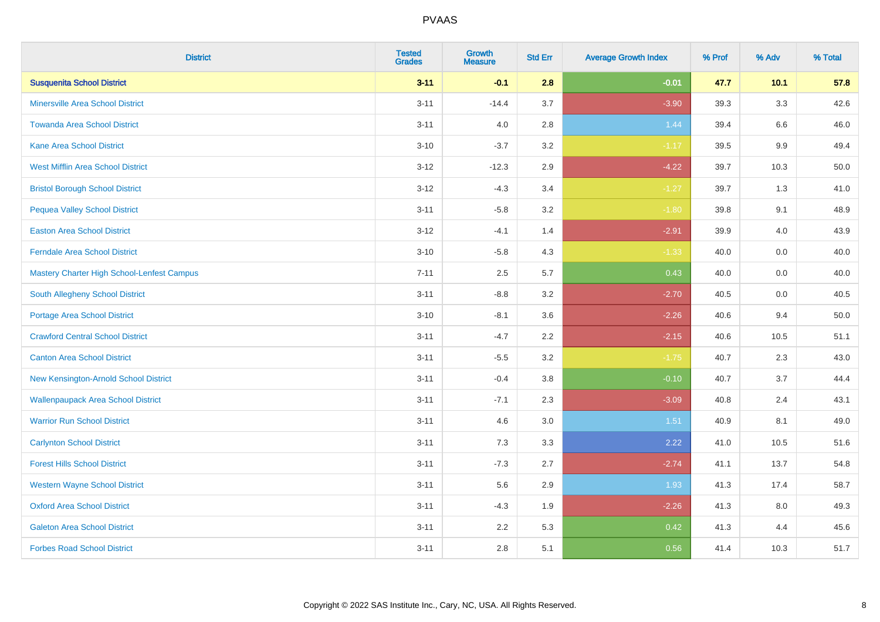| <b>District</b>                                   | <b>Tested</b><br><b>Grades</b> | <b>Growth</b><br><b>Measure</b> | <b>Std Err</b> | <b>Average Growth Index</b> | % Prof | % Adv  | % Total |
|---------------------------------------------------|--------------------------------|---------------------------------|----------------|-----------------------------|--------|--------|---------|
| <b>Susquenita School District</b>                 | $3 - 11$                       | $-0.1$                          | 2.8            | $-0.01$                     | 47.7   | $10.1$ | 57.8    |
| Minersville Area School District                  | $3 - 11$                       | $-14.4$                         | 3.7            | $-3.90$                     | 39.3   | 3.3    | 42.6    |
| <b>Towanda Area School District</b>               | $3 - 11$                       | 4.0                             | 2.8            | 1.44                        | 39.4   | 6.6    | 46.0    |
| <b>Kane Area School District</b>                  | $3 - 10$                       | $-3.7$                          | 3.2            | $-1.17$                     | 39.5   | 9.9    | 49.4    |
| <b>West Mifflin Area School District</b>          | $3 - 12$                       | $-12.3$                         | 2.9            | $-4.22$                     | 39.7   | 10.3   | 50.0    |
| <b>Bristol Borough School District</b>            | $3 - 12$                       | $-4.3$                          | 3.4            | $-1.27$                     | 39.7   | 1.3    | 41.0    |
| <b>Pequea Valley School District</b>              | $3 - 11$                       | $-5.8$                          | 3.2            | $-1.80$                     | 39.8   | 9.1    | 48.9    |
| <b>Easton Area School District</b>                | $3 - 12$                       | $-4.1$                          | 1.4            | $-2.91$                     | 39.9   | 4.0    | 43.9    |
| <b>Ferndale Area School District</b>              | $3 - 10$                       | $-5.8$                          | 4.3            | $-1.33$                     | 40.0   | 0.0    | 40.0    |
| <b>Mastery Charter High School-Lenfest Campus</b> | $7 - 11$                       | $2.5\,$                         | 5.7            | 0.43                        | 40.0   | 0.0    | 40.0    |
| <b>South Allegheny School District</b>            | $3 - 11$                       | $-8.8$                          | 3.2            | $-2.70$                     | 40.5   | 0.0    | 40.5    |
| Portage Area School District                      | $3 - 10$                       | $-8.1$                          | 3.6            | $-2.26$                     | 40.6   | 9.4    | 50.0    |
| <b>Crawford Central School District</b>           | $3 - 11$                       | $-4.7$                          | 2.2            | $-2.15$                     | 40.6   | 10.5   | 51.1    |
| <b>Canton Area School District</b>                | $3 - 11$                       | $-5.5$                          | 3.2            | $-1.75$                     | 40.7   | 2.3    | 43.0    |
| New Kensington-Arnold School District             | $3 - 11$                       | $-0.4$                          | 3.8            | $-0.10$                     | 40.7   | 3.7    | 44.4    |
| <b>Wallenpaupack Area School District</b>         | $3 - 11$                       | $-7.1$                          | 2.3            | $-3.09$                     | 40.8   | 2.4    | 43.1    |
| <b>Warrior Run School District</b>                | $3 - 11$                       | 4.6                             | 3.0            | 1.51                        | 40.9   | 8.1    | 49.0    |
| <b>Carlynton School District</b>                  | $3 - 11$                       | 7.3                             | 3.3            | 2.22                        | 41.0   | 10.5   | 51.6    |
| <b>Forest Hills School District</b>               | $3 - 11$                       | $-7.3$                          | 2.7            | $-2.74$                     | 41.1   | 13.7   | 54.8    |
| <b>Western Wayne School District</b>              | $3 - 11$                       | 5.6                             | 2.9            | 1.93                        | 41.3   | 17.4   | 58.7    |
| <b>Oxford Area School District</b>                | $3 - 11$                       | $-4.3$                          | 1.9            | $-2.26$                     | 41.3   | 8.0    | 49.3    |
| <b>Galeton Area School District</b>               | $3 - 11$                       | 2.2                             | 5.3            | 0.42                        | 41.3   | 4.4    | 45.6    |
| <b>Forbes Road School District</b>                | $3 - 11$                       | 2.8                             | 5.1            | 0.56                        | 41.4   | 10.3   | 51.7    |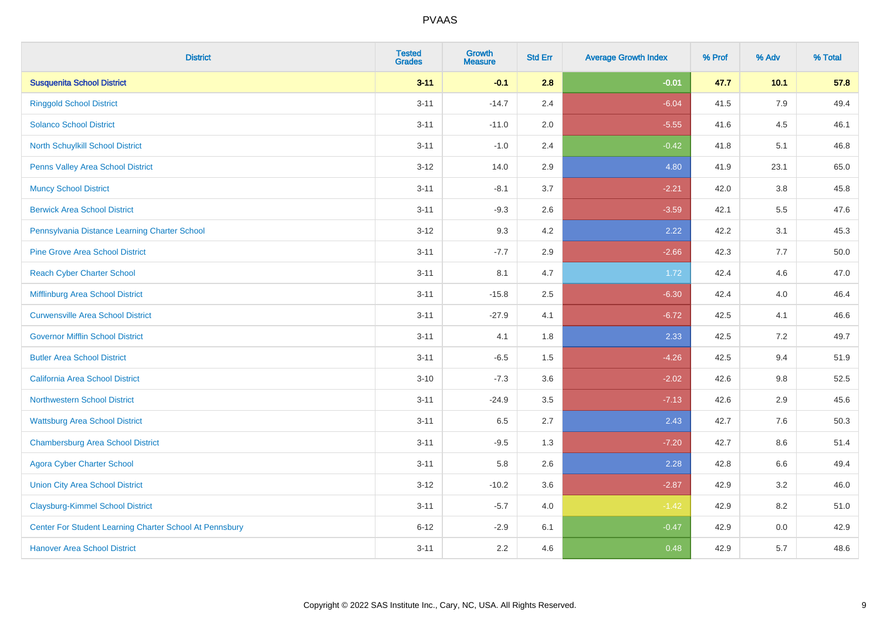| <b>District</b>                                         | <b>Tested</b><br><b>Grades</b> | <b>Growth</b><br><b>Measure</b> | <b>Std Err</b> | <b>Average Growth Index</b> | % Prof | % Adv   | % Total |
|---------------------------------------------------------|--------------------------------|---------------------------------|----------------|-----------------------------|--------|---------|---------|
| <b>Susquenita School District</b>                       | $3 - 11$                       | $-0.1$                          | 2.8            | $-0.01$                     | 47.7   | 10.1    | 57.8    |
| <b>Ringgold School District</b>                         | $3 - 11$                       | $-14.7$                         | 2.4            | $-6.04$                     | 41.5   | 7.9     | 49.4    |
| <b>Solanco School District</b>                          | $3 - 11$                       | $-11.0$                         | 2.0            | $-5.55$                     | 41.6   | 4.5     | 46.1    |
| North Schuylkill School District                        | $3 - 11$                       | $-1.0$                          | 2.4            | $-0.42$                     | 41.8   | 5.1     | 46.8    |
| Penns Valley Area School District                       | $3 - 12$                       | 14.0                            | 2.9            | 4.80                        | 41.9   | 23.1    | 65.0    |
| <b>Muncy School District</b>                            | $3 - 11$                       | $-8.1$                          | 3.7            | $-2.21$                     | 42.0   | 3.8     | 45.8    |
| <b>Berwick Area School District</b>                     | $3 - 11$                       | $-9.3$                          | 2.6            | $-3.59$                     | 42.1   | 5.5     | 47.6    |
| Pennsylvania Distance Learning Charter School           | $3 - 12$                       | 9.3                             | 4.2            | 2.22                        | 42.2   | 3.1     | 45.3    |
| <b>Pine Grove Area School District</b>                  | $3 - 11$                       | $-7.7$                          | 2.9            | $-2.66$                     | 42.3   | 7.7     | 50.0    |
| <b>Reach Cyber Charter School</b>                       | $3 - 11$                       | 8.1                             | 4.7            | 1.72                        | 42.4   | 4.6     | 47.0    |
| Mifflinburg Area School District                        | $3 - 11$                       | $-15.8$                         | 2.5            | $-6.30$                     | 42.4   | 4.0     | 46.4    |
| <b>Curwensville Area School District</b>                | $3 - 11$                       | $-27.9$                         | 4.1            | $-6.72$                     | 42.5   | 4.1     | 46.6    |
| <b>Governor Mifflin School District</b>                 | $3 - 11$                       | 4.1                             | 1.8            | 2.33                        | 42.5   | 7.2     | 49.7    |
| <b>Butler Area School District</b>                      | $3 - 11$                       | $-6.5$                          | $1.5\,$        | $-4.26$                     | 42.5   | 9.4     | 51.9    |
| California Area School District                         | $3 - 10$                       | $-7.3$                          | 3.6            | $-2.02$                     | 42.6   | 9.8     | 52.5    |
| <b>Northwestern School District</b>                     | $3 - 11$                       | $-24.9$                         | 3.5            | $-7.13$                     | 42.6   | 2.9     | 45.6    |
| <b>Wattsburg Area School District</b>                   | $3 - 11$                       | 6.5                             | 2.7            | 2.43                        | 42.7   | 7.6     | 50.3    |
| <b>Chambersburg Area School District</b>                | $3 - 11$                       | $-9.5$                          | 1.3            | $-7.20$                     | 42.7   | 8.6     | 51.4    |
| <b>Agora Cyber Charter School</b>                       | $3 - 11$                       | 5.8                             | 2.6            | 2.28                        | 42.8   | $6.6\,$ | 49.4    |
| <b>Union City Area School District</b>                  | $3 - 12$                       | $-10.2$                         | 3.6            | $-2.87$                     | 42.9   | 3.2     | 46.0    |
| <b>Claysburg-Kimmel School District</b>                 | $3 - 11$                       | $-5.7$                          | 4.0            | $-1.42$                     | 42.9   | 8.2     | 51.0    |
| Center For Student Learning Charter School At Pennsbury | $6 - 12$                       | $-2.9$                          | 6.1            | $-0.47$                     | 42.9   | 0.0     | 42.9    |
| <b>Hanover Area School District</b>                     | $3 - 11$                       | 2.2                             | 4.6            | 0.48                        | 42.9   | 5.7     | 48.6    |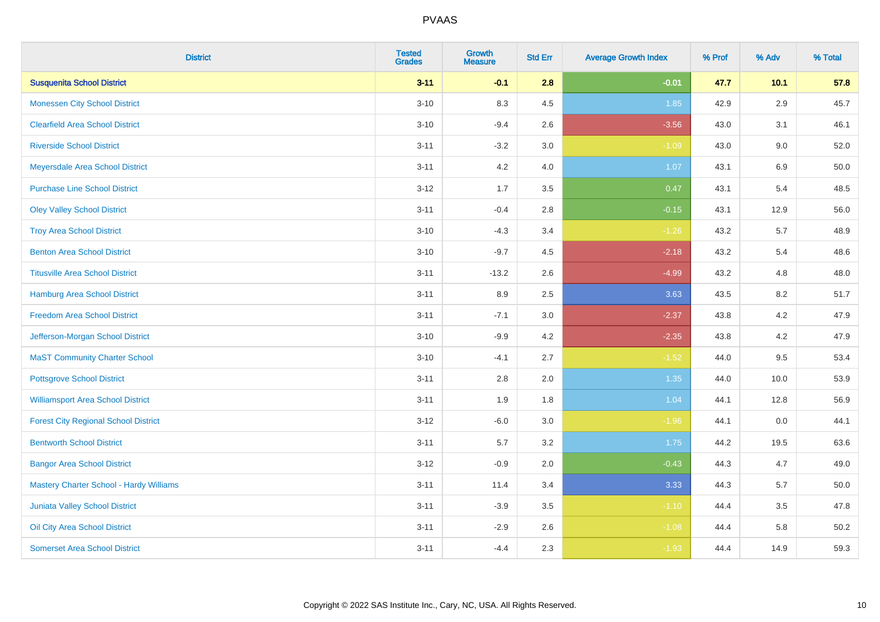| <b>District</b>                                | <b>Tested</b><br><b>Grades</b> | <b>Growth</b><br><b>Measure</b> | <b>Std Err</b> | <b>Average Growth Index</b> | % Prof | % Adv   | % Total |
|------------------------------------------------|--------------------------------|---------------------------------|----------------|-----------------------------|--------|---------|---------|
| <b>Susquenita School District</b>              | $3 - 11$                       | $-0.1$                          | 2.8            | $-0.01$                     | 47.7   | $10.1$  | 57.8    |
| <b>Monessen City School District</b>           | $3 - 10$                       | 8.3                             | 4.5            | 1.85                        | 42.9   | $2.9\,$ | 45.7    |
| <b>Clearfield Area School District</b>         | $3 - 10$                       | $-9.4$                          | 2.6            | $-3.56$                     | 43.0   | 3.1     | 46.1    |
| <b>Riverside School District</b>               | $3 - 11$                       | $-3.2$                          | 3.0            | $-1.09$                     | 43.0   | 9.0     | 52.0    |
| Meyersdale Area School District                | $3 - 11$                       | 4.2                             | 4.0            | 1.07                        | 43.1   | 6.9     | 50.0    |
| <b>Purchase Line School District</b>           | $3 - 12$                       | 1.7                             | 3.5            | 0.47                        | 43.1   | 5.4     | 48.5    |
| <b>Oley Valley School District</b>             | $3 - 11$                       | $-0.4$                          | 2.8            | $-0.15$                     | 43.1   | 12.9    | 56.0    |
| <b>Troy Area School District</b>               | $3 - 10$                       | $-4.3$                          | 3.4            | $-1.26$                     | 43.2   | 5.7     | 48.9    |
| <b>Benton Area School District</b>             | $3 - 10$                       | $-9.7$                          | 4.5            | $-2.18$                     | 43.2   | 5.4     | 48.6    |
| <b>Titusville Area School District</b>         | $3 - 11$                       | $-13.2$                         | 2.6            | $-4.99$                     | 43.2   | 4.8     | 48.0    |
| <b>Hamburg Area School District</b>            | $3 - 11$                       | 8.9                             | 2.5            | 3.63                        | 43.5   | 8.2     | 51.7    |
| <b>Freedom Area School District</b>            | $3 - 11$                       | $-7.1$                          | 3.0            | $-2.37$                     | 43.8   | $4.2\,$ | 47.9    |
| Jefferson-Morgan School District               | $3 - 10$                       | $-9.9$                          | 4.2            | $-2.35$                     | 43.8   | $4.2\,$ | 47.9    |
| <b>MaST Community Charter School</b>           | $3 - 10$                       | $-4.1$                          | 2.7            | $-1.52$                     | 44.0   | 9.5     | 53.4    |
| <b>Pottsgrove School District</b>              | $3 - 11$                       | $2.8\,$                         | 2.0            | 1.35                        | 44.0   | 10.0    | 53.9    |
| <b>Williamsport Area School District</b>       | $3 - 11$                       | 1.9                             | 1.8            | 1.04                        | 44.1   | 12.8    | 56.9    |
| <b>Forest City Regional School District</b>    | $3 - 12$                       | $-6.0$                          | 3.0            | $-1.96$                     | 44.1   | 0.0     | 44.1    |
| <b>Bentworth School District</b>               | $3 - 11$                       | 5.7                             | 3.2            | 1.75                        | 44.2   | 19.5    | 63.6    |
| <b>Bangor Area School District</b>             | $3 - 12$                       | $-0.9$                          | 2.0            | $-0.43$                     | 44.3   | 4.7     | 49.0    |
| <b>Mastery Charter School - Hardy Williams</b> | $3 - 11$                       | 11.4                            | 3.4            | 3.33                        | 44.3   | 5.7     | 50.0    |
| <b>Juniata Valley School District</b>          | $3 - 11$                       | $-3.9$                          | 3.5            | $-1.10$                     | 44.4   | 3.5     | 47.8    |
| Oil City Area School District                  | $3 - 11$                       | $-2.9$                          | 2.6            | $-1.08$                     | 44.4   | 5.8     | 50.2    |
| <b>Somerset Area School District</b>           | $3 - 11$                       | $-4.4$                          | 2.3            | $-1.93$                     | 44.4   | 14.9    | 59.3    |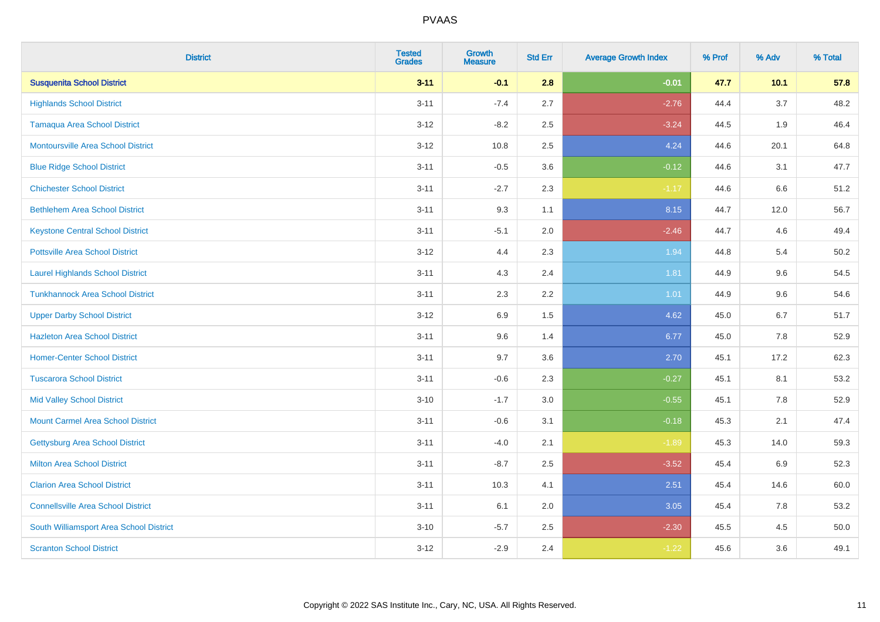| <b>District</b>                           | <b>Tested</b><br><b>Grades</b> | Growth<br><b>Measure</b> | <b>Std Err</b> | <b>Average Growth Index</b> | % Prof | % Adv  | % Total |
|-------------------------------------------|--------------------------------|--------------------------|----------------|-----------------------------|--------|--------|---------|
| <b>Susquenita School District</b>         | $3 - 11$                       | $-0.1$                   | 2.8            | $-0.01$                     | 47.7   | $10.1$ | 57.8    |
| <b>Highlands School District</b>          | $3 - 11$                       | $-7.4$                   | 2.7            | $-2.76$                     | 44.4   | 3.7    | 48.2    |
| <b>Tamaqua Area School District</b>       | $3 - 12$                       | $-8.2$                   | 2.5            | $-3.24$                     | 44.5   | 1.9    | 46.4    |
| <b>Montoursville Area School District</b> | $3 - 12$                       | 10.8                     | 2.5            | 4.24                        | 44.6   | 20.1   | 64.8    |
| <b>Blue Ridge School District</b>         | $3 - 11$                       | $-0.5$                   | 3.6            | $-0.12$                     | 44.6   | 3.1    | 47.7    |
| <b>Chichester School District</b>         | $3 - 11$                       | $-2.7$                   | 2.3            | $-1.17$                     | 44.6   | 6.6    | 51.2    |
| <b>Bethlehem Area School District</b>     | $3 - 11$                       | 9.3                      | 1.1            | 8.15                        | 44.7   | 12.0   | 56.7    |
| <b>Keystone Central School District</b>   | $3 - 11$                       | $-5.1$                   | 2.0            | $-2.46$                     | 44.7   | 4.6    | 49.4    |
| <b>Pottsville Area School District</b>    | $3 - 12$                       | 4.4                      | 2.3            | 1.94                        | 44.8   | 5.4    | 50.2    |
| <b>Laurel Highlands School District</b>   | $3 - 11$                       | 4.3                      | 2.4            | 1.81                        | 44.9   | 9.6    | 54.5    |
| <b>Tunkhannock Area School District</b>   | $3 - 11$                       | 2.3                      | 2.2            | 1.01                        | 44.9   | 9.6    | 54.6    |
| <b>Upper Darby School District</b>        | $3 - 12$                       | 6.9                      | 1.5            | 4.62                        | 45.0   | 6.7    | 51.7    |
| <b>Hazleton Area School District</b>      | $3 - 11$                       | 9.6                      | 1.4            | 6.77                        | 45.0   | 7.8    | 52.9    |
| <b>Homer-Center School District</b>       | $3 - 11$                       | 9.7                      | 3.6            | 2.70                        | 45.1   | 17.2   | 62.3    |
| <b>Tuscarora School District</b>          | $3 - 11$                       | $-0.6$                   | 2.3            | $-0.27$                     | 45.1   | 8.1    | 53.2    |
| <b>Mid Valley School District</b>         | $3 - 10$                       | $-1.7$                   | 3.0            | $-0.55$                     | 45.1   | 7.8    | 52.9    |
| <b>Mount Carmel Area School District</b>  | $3 - 11$                       | $-0.6$                   | 3.1            | $-0.18$                     | 45.3   | 2.1    | 47.4    |
| Gettysburg Area School District           | $3 - 11$                       | $-4.0$                   | 2.1            | $-1.89$                     | 45.3   | 14.0   | 59.3    |
| <b>Milton Area School District</b>        | $3 - 11$                       | $-8.7$                   | 2.5            | $-3.52$                     | 45.4   | 6.9    | 52.3    |
| <b>Clarion Area School District</b>       | $3 - 11$                       | 10.3                     | 4.1            | 2.51                        | 45.4   | 14.6   | 60.0    |
| <b>Connellsville Area School District</b> | $3 - 11$                       | 6.1                      | 2.0            | 3.05                        | 45.4   | 7.8    | 53.2    |
| South Williamsport Area School District   | $3 - 10$                       | $-5.7$                   | 2.5            | $-2.30$                     | 45.5   | 4.5    | 50.0    |
| <b>Scranton School District</b>           | $3 - 12$                       | $-2.9$                   | 2.4            | $-1.22$                     | 45.6   | 3.6    | 49.1    |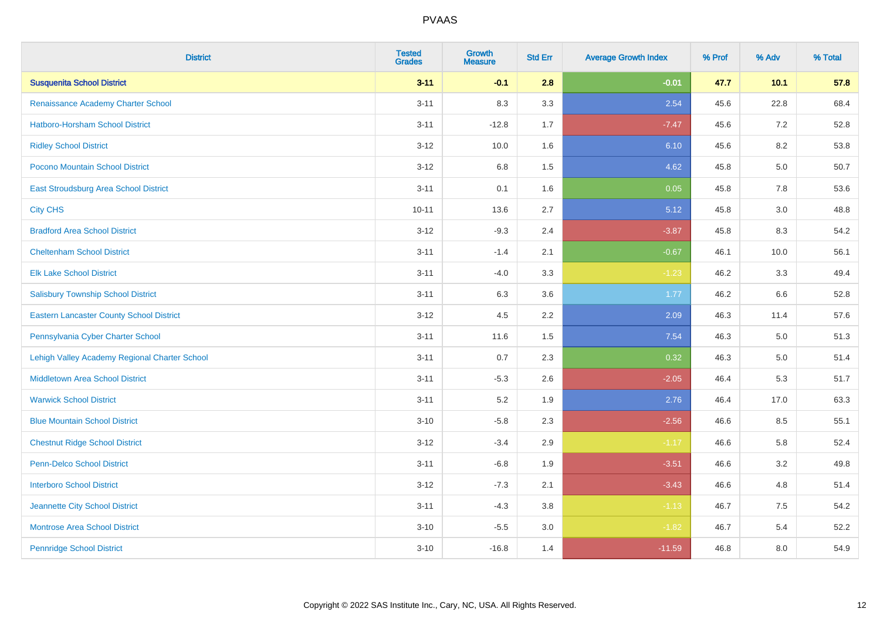| <b>District</b>                                 | <b>Tested</b><br><b>Grades</b> | <b>Growth</b><br><b>Measure</b> | <b>Std Err</b> | <b>Average Growth Index</b> | % Prof | % Adv   | % Total |
|-------------------------------------------------|--------------------------------|---------------------------------|----------------|-----------------------------|--------|---------|---------|
| <b>Susquenita School District</b>               | $3 - 11$                       | $-0.1$                          | 2.8            | $-0.01$                     | 47.7   | 10.1    | 57.8    |
| Renaissance Academy Charter School              | $3 - 11$                       | 8.3                             | 3.3            | 2.54                        | 45.6   | 22.8    | 68.4    |
| Hatboro-Horsham School District                 | $3 - 11$                       | $-12.8$                         | 1.7            | $-7.47$                     | 45.6   | 7.2     | 52.8    |
| <b>Ridley School District</b>                   | $3 - 12$                       | 10.0                            | 1.6            | 6.10                        | 45.6   | 8.2     | 53.8    |
| <b>Pocono Mountain School District</b>          | $3 - 12$                       | 6.8                             | 1.5            | 4.62                        | 45.8   | 5.0     | 50.7    |
| <b>East Stroudsburg Area School District</b>    | $3 - 11$                       | 0.1                             | 1.6            | 0.05                        | 45.8   | 7.8     | 53.6    |
| <b>City CHS</b>                                 | $10 - 11$                      | 13.6                            | 2.7            | 5.12                        | 45.8   | 3.0     | 48.8    |
| <b>Bradford Area School District</b>            | $3 - 12$                       | $-9.3$                          | 2.4            | $-3.87$                     | 45.8   | 8.3     | 54.2    |
| <b>Cheltenham School District</b>               | $3 - 11$                       | $-1.4$                          | 2.1            | $-0.67$                     | 46.1   | 10.0    | 56.1    |
| <b>Elk Lake School District</b>                 | $3 - 11$                       | $-4.0$                          | 3.3            | $-1.23$                     | 46.2   | 3.3     | 49.4    |
| <b>Salisbury Township School District</b>       | $3 - 11$                       | 6.3                             | 3.6            | 1.77                        | 46.2   | 6.6     | 52.8    |
| <b>Eastern Lancaster County School District</b> | $3 - 12$                       | 4.5                             | 2.2            | 2.09                        | 46.3   | 11.4    | 57.6    |
| Pennsylvania Cyber Charter School               | $3 - 11$                       | 11.6                            | 1.5            | 7.54                        | 46.3   | $5.0\,$ | 51.3    |
| Lehigh Valley Academy Regional Charter School   | $3 - 11$                       | 0.7                             | 2.3            | 0.32                        | 46.3   | 5.0     | 51.4    |
| <b>Middletown Area School District</b>          | $3 - 11$                       | $-5.3$                          | 2.6            | $-2.05$                     | 46.4   | 5.3     | 51.7    |
| <b>Warwick School District</b>                  | $3 - 11$                       | 5.2                             | 1.9            | 2.76                        | 46.4   | 17.0    | 63.3    |
| <b>Blue Mountain School District</b>            | $3 - 10$                       | $-5.8$                          | 2.3            | $-2.56$                     | 46.6   | 8.5     | 55.1    |
| <b>Chestnut Ridge School District</b>           | $3 - 12$                       | $-3.4$                          | 2.9            | $-1.17$                     | 46.6   | 5.8     | 52.4    |
| <b>Penn-Delco School District</b>               | $3 - 11$                       | $-6.8$                          | 1.9            | $-3.51$                     | 46.6   | 3.2     | 49.8    |
| <b>Interboro School District</b>                | $3 - 12$                       | $-7.3$                          | 2.1            | $-3.43$                     | 46.6   | 4.8     | 51.4    |
| Jeannette City School District                  | $3 - 11$                       | $-4.3$                          | 3.8            | $-1.13$                     | 46.7   | 7.5     | 54.2    |
| <b>Montrose Area School District</b>            | $3 - 10$                       | $-5.5$                          | 3.0            | $-1.82$                     | 46.7   | 5.4     | 52.2    |
| <b>Pennridge School District</b>                | $3 - 10$                       | $-16.8$                         | 1.4            | $-11.59$                    | 46.8   | 8.0     | 54.9    |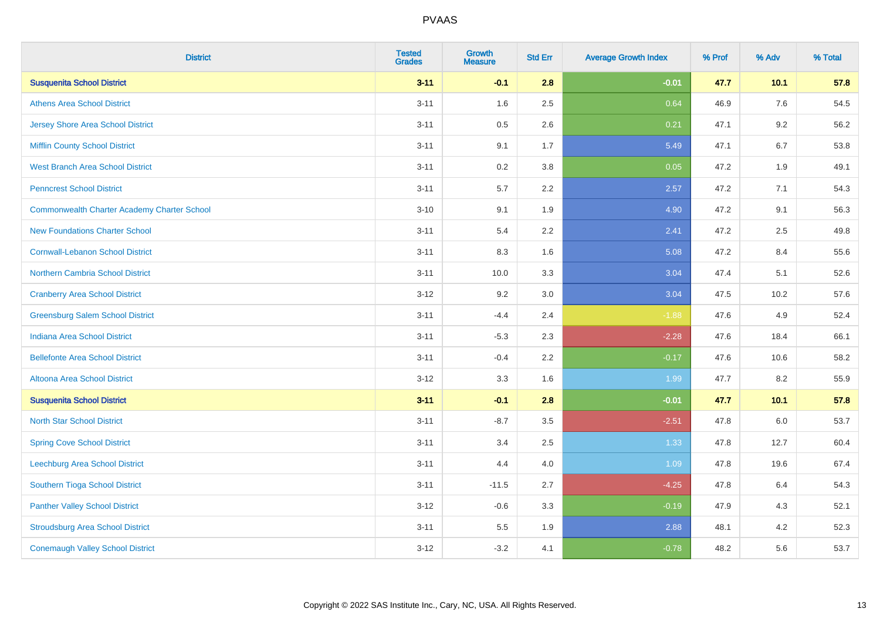| <b>District</b>                                    | <b>Tested</b><br><b>Grades</b> | <b>Growth</b><br><b>Measure</b> | <b>Std Err</b> | <b>Average Growth Index</b> | % Prof | % Adv  | % Total |
|----------------------------------------------------|--------------------------------|---------------------------------|----------------|-----------------------------|--------|--------|---------|
| <b>Susquenita School District</b>                  | $3 - 11$                       | $-0.1$                          | 2.8            | $-0.01$                     | 47.7   | $10.1$ | 57.8    |
| <b>Athens Area School District</b>                 | $3 - 11$                       | 1.6                             | 2.5            | 0.64                        | 46.9   | 7.6    | 54.5    |
| <b>Jersey Shore Area School District</b>           | $3 - 11$                       | 0.5                             | 2.6            | 0.21                        | 47.1   | 9.2    | 56.2    |
| <b>Mifflin County School District</b>              | $3 - 11$                       | 9.1                             | 1.7            | 5.49                        | 47.1   | 6.7    | 53.8    |
| <b>West Branch Area School District</b>            | $3 - 11$                       | 0.2                             | 3.8            | 0.05                        | 47.2   | 1.9    | 49.1    |
| <b>Penncrest School District</b>                   | $3 - 11$                       | 5.7                             | 2.2            | 2.57                        | 47.2   | 7.1    | 54.3    |
| <b>Commonwealth Charter Academy Charter School</b> | $3 - 10$                       | 9.1                             | 1.9            | 4.90                        | 47.2   | 9.1    | 56.3    |
| <b>New Foundations Charter School</b>              | $3 - 11$                       | 5.4                             | 2.2            | 2.41                        | 47.2   | 2.5    | 49.8    |
| <b>Cornwall-Lebanon School District</b>            | $3 - 11$                       | 8.3                             | 1.6            | 5.08                        | 47.2   | 8.4    | 55.6    |
| <b>Northern Cambria School District</b>            | $3 - 11$                       | 10.0                            | 3.3            | 3.04                        | 47.4   | 5.1    | 52.6    |
| <b>Cranberry Area School District</b>              | $3-12$                         | 9.2                             | 3.0            | 3.04                        | 47.5   | 10.2   | 57.6    |
| <b>Greensburg Salem School District</b>            | $3 - 11$                       | $-4.4$                          | 2.4            | $-1.88$                     | 47.6   | 4.9    | 52.4    |
| Indiana Area School District                       | $3 - 11$                       | $-5.3$                          | 2.3            | $-2.28$                     | 47.6   | 18.4   | 66.1    |
| <b>Bellefonte Area School District</b>             | $3 - 11$                       | $-0.4$                          | 2.2            | $-0.17$                     | 47.6   | 10.6   | 58.2    |
| <b>Altoona Area School District</b>                | $3 - 12$                       | 3.3                             | 1.6            | 1.99                        | 47.7   | 8.2    | 55.9    |
| <b>Susquenita School District</b>                  | $3 - 11$                       | $-0.1$                          | 2.8            | $-0.01$                     | 47.7   | $10.1$ | 57.8    |
| <b>North Star School District</b>                  | $3 - 11$                       | $-8.7$                          | 3.5            | $-2.51$                     | 47.8   | 6.0    | 53.7    |
| <b>Spring Cove School District</b>                 | $3 - 11$                       | 3.4                             | 2.5            | 1.33                        | 47.8   | 12.7   | 60.4    |
| Leechburg Area School District                     | $3 - 11$                       | 4.4                             | 4.0            | 1.09                        | 47.8   | 19.6   | 67.4    |
| Southern Tioga School District                     | $3 - 11$                       | $-11.5$                         | 2.7            | $-4.25$                     | 47.8   | 6.4    | 54.3    |
| <b>Panther Valley School District</b>              | $3 - 12$                       | $-0.6$                          | 3.3            | $-0.19$                     | 47.9   | 4.3    | 52.1    |
| <b>Stroudsburg Area School District</b>            | $3 - 11$                       | $5.5\,$                         | 1.9            | 2.88                        | 48.1   | 4.2    | 52.3    |
| <b>Conemaugh Valley School District</b>            | $3 - 12$                       | $-3.2$                          | 4.1            | $-0.78$                     | 48.2   | 5.6    | 53.7    |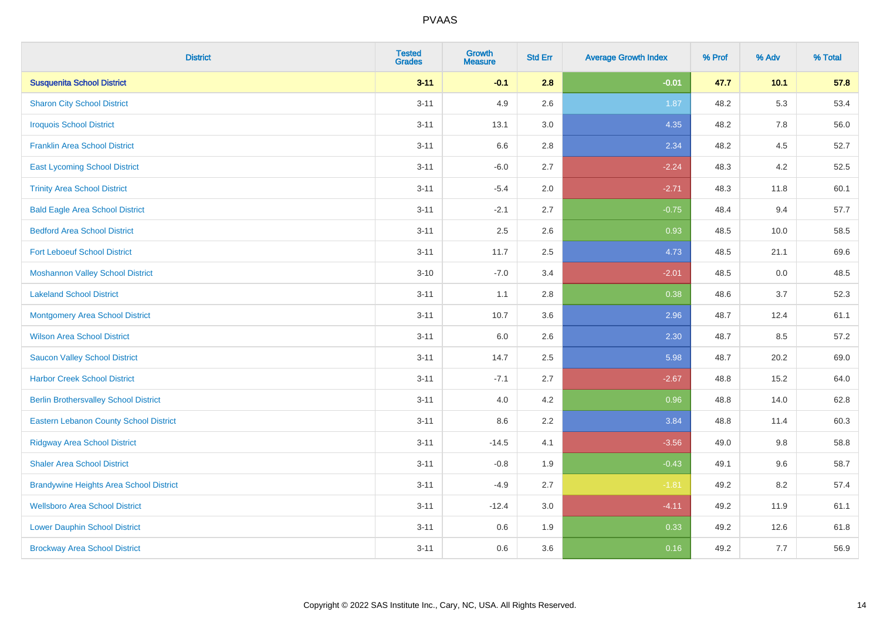| <b>District</b>                                | <b>Tested</b><br><b>Grades</b> | <b>Growth</b><br><b>Measure</b> | <b>Std Err</b> | <b>Average Growth Index</b> | % Prof | % Adv  | % Total |
|------------------------------------------------|--------------------------------|---------------------------------|----------------|-----------------------------|--------|--------|---------|
| <b>Susquenita School District</b>              | $3 - 11$                       | $-0.1$                          | 2.8            | $-0.01$                     | 47.7   | $10.1$ | 57.8    |
| <b>Sharon City School District</b>             | $3 - 11$                       | 4.9                             | 2.6            | 1.87                        | 48.2   | 5.3    | 53.4    |
| <b>Iroquois School District</b>                | $3 - 11$                       | 13.1                            | 3.0            | 4.35                        | 48.2   | 7.8    | 56.0    |
| <b>Franklin Area School District</b>           | $3 - 11$                       | 6.6                             | 2.8            | 2.34                        | 48.2   | 4.5    | 52.7    |
| <b>East Lycoming School District</b>           | $3 - 11$                       | $-6.0$                          | 2.7            | $-2.24$                     | 48.3   | 4.2    | 52.5    |
| <b>Trinity Area School District</b>            | $3 - 11$                       | $-5.4$                          | 2.0            | $-2.71$                     | 48.3   | 11.8   | 60.1    |
| <b>Bald Eagle Area School District</b>         | $3 - 11$                       | $-2.1$                          | 2.7            | $-0.75$                     | 48.4   | 9.4    | 57.7    |
| <b>Bedford Area School District</b>            | $3 - 11$                       | 2.5                             | 2.6            | 0.93                        | 48.5   | 10.0   | 58.5    |
| <b>Fort Leboeuf School District</b>            | $3 - 11$                       | 11.7                            | 2.5            | 4.73                        | 48.5   | 21.1   | 69.6    |
| <b>Moshannon Valley School District</b>        | $3 - 10$                       | $-7.0$                          | 3.4            | $-2.01$                     | 48.5   | 0.0    | 48.5    |
| <b>Lakeland School District</b>                | $3 - 11$                       | 1.1                             | 2.8            | 0.38                        | 48.6   | 3.7    | 52.3    |
| <b>Montgomery Area School District</b>         | $3 - 11$                       | 10.7                            | 3.6            | 2.96                        | 48.7   | 12.4   | 61.1    |
| <b>Wilson Area School District</b>             | $3 - 11$                       | $6.0\,$                         | 2.6            | 2.30                        | 48.7   | 8.5    | 57.2    |
| <b>Saucon Valley School District</b>           | $3 - 11$                       | 14.7                            | 2.5            | 5.98                        | 48.7   | 20.2   | 69.0    |
| <b>Harbor Creek School District</b>            | $3 - 11$                       | $-7.1$                          | 2.7            | $-2.67$                     | 48.8   | 15.2   | 64.0    |
| <b>Berlin Brothersvalley School District</b>   | $3 - 11$                       | 4.0                             | 4.2            | 0.96                        | 48.8   | 14.0   | 62.8    |
| <b>Eastern Lebanon County School District</b>  | $3 - 11$                       | 8.6                             | 2.2            | 3.84                        | 48.8   | 11.4   | 60.3    |
| <b>Ridgway Area School District</b>            | $3 - 11$                       | $-14.5$                         | 4.1            | $-3.56$                     | 49.0   | 9.8    | 58.8    |
| <b>Shaler Area School District</b>             | $3 - 11$                       | $-0.8$                          | 1.9            | $-0.43$                     | 49.1   | 9.6    | 58.7    |
| <b>Brandywine Heights Area School District</b> | $3 - 11$                       | $-4.9$                          | 2.7            | $-1.81$                     | 49.2   | 8.2    | 57.4    |
| <b>Wellsboro Area School District</b>          | $3 - 11$                       | $-12.4$                         | 3.0            | $-4.11$                     | 49.2   | 11.9   | 61.1    |
| <b>Lower Dauphin School District</b>           | $3 - 11$                       | $0.6\,$                         | 1.9            | 0.33                        | 49.2   | 12.6   | 61.8    |
| <b>Brockway Area School District</b>           | $3 - 11$                       | 0.6                             | 3.6            | 0.16                        | 49.2   | 7.7    | 56.9    |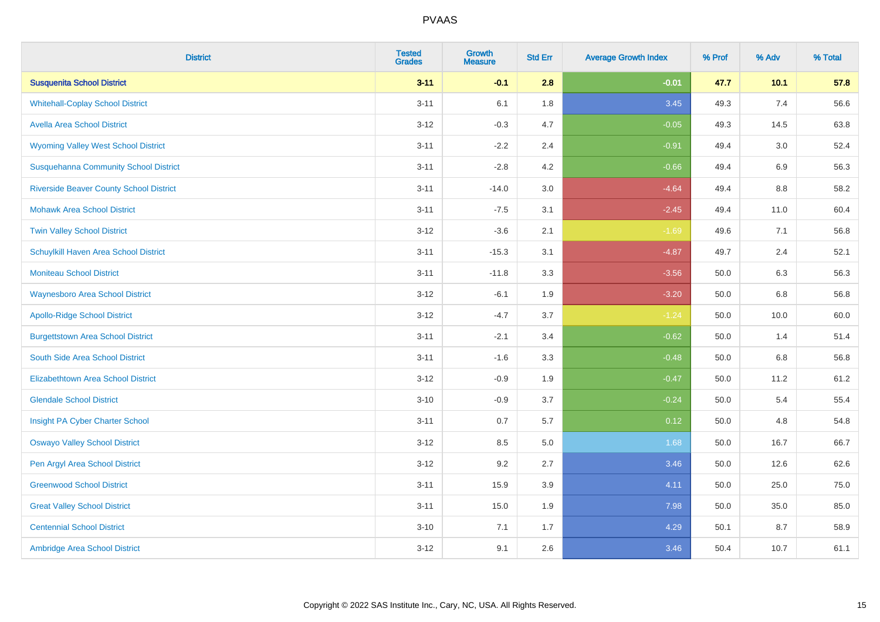| <b>District</b>                                | <b>Tested</b><br><b>Grades</b> | <b>Growth</b><br><b>Measure</b> | <b>Std Err</b> | <b>Average Growth Index</b> | % Prof | % Adv | % Total |
|------------------------------------------------|--------------------------------|---------------------------------|----------------|-----------------------------|--------|-------|---------|
| <b>Susquenita School District</b>              | $3 - 11$                       | $-0.1$                          | 2.8            | $-0.01$                     | 47.7   | 10.1  | 57.8    |
| <b>Whitehall-Coplay School District</b>        | $3 - 11$                       | 6.1                             | 1.8            | 3.45                        | 49.3   | 7.4   | 56.6    |
| <b>Avella Area School District</b>             | $3 - 12$                       | $-0.3$                          | 4.7            | $-0.05$                     | 49.3   | 14.5  | 63.8    |
| <b>Wyoming Valley West School District</b>     | $3 - 11$                       | $-2.2$                          | 2.4            | $-0.91$                     | 49.4   | 3.0   | 52.4    |
| <b>Susquehanna Community School District</b>   | $3 - 11$                       | $-2.8$                          | 4.2            | $-0.66$                     | 49.4   | 6.9   | 56.3    |
| <b>Riverside Beaver County School District</b> | $3 - 11$                       | $-14.0$                         | 3.0            | $-4.64$                     | 49.4   | 8.8   | 58.2    |
| <b>Mohawk Area School District</b>             | $3 - 11$                       | $-7.5$                          | 3.1            | $-2.45$                     | 49.4   | 11.0  | 60.4    |
| <b>Twin Valley School District</b>             | $3 - 12$                       | $-3.6$                          | 2.1            | $-1.69$                     | 49.6   | 7.1   | 56.8    |
| Schuylkill Haven Area School District          | $3 - 11$                       | $-15.3$                         | 3.1            | $-4.87$                     | 49.7   | 2.4   | 52.1    |
| <b>Moniteau School District</b>                | $3 - 11$                       | $-11.8$                         | 3.3            | $-3.56$                     | 50.0   | 6.3   | 56.3    |
| <b>Waynesboro Area School District</b>         | $3 - 12$                       | $-6.1$                          | 1.9            | $-3.20$                     | 50.0   | 6.8   | 56.8    |
| <b>Apollo-Ridge School District</b>            | $3 - 12$                       | $-4.7$                          | 3.7            | $-1.24$                     | 50.0   | 10.0  | 60.0    |
| <b>Burgettstown Area School District</b>       | $3 - 11$                       | $-2.1$                          | 3.4            | $-0.62$                     | 50.0   | 1.4   | 51.4    |
| South Side Area School District                | $3 - 11$                       | $-1.6$                          | 3.3            | $-0.48$                     | 50.0   | 6.8   | 56.8    |
| <b>Elizabethtown Area School District</b>      | $3 - 12$                       | $-0.9$                          | 1.9            | $-0.47$                     | 50.0   | 11.2  | 61.2    |
| <b>Glendale School District</b>                | $3 - 10$                       | $-0.9$                          | 3.7            | $-0.24$                     | 50.0   | 5.4   | 55.4    |
| Insight PA Cyber Charter School                | $3 - 11$                       | 0.7                             | 5.7            | 0.12                        | 50.0   | 4.8   | 54.8    |
| <b>Oswayo Valley School District</b>           | $3 - 12$                       | 8.5                             | 5.0            | 1.68                        | 50.0   | 16.7  | 66.7    |
| Pen Argyl Area School District                 | $3 - 12$                       | 9.2                             | 2.7            | 3.46                        | 50.0   | 12.6  | 62.6    |
| <b>Greenwood School District</b>               | $3 - 11$                       | 15.9                            | 3.9            | 4.11                        | 50.0   | 25.0  | 75.0    |
| <b>Great Valley School District</b>            | $3 - 11$                       | 15.0                            | 1.9            | 7.98                        | 50.0   | 35.0  | 85.0    |
| <b>Centennial School District</b>              | $3 - 10$                       | 7.1                             | 1.7            | 4.29                        | 50.1   | 8.7   | 58.9    |
| Ambridge Area School District                  | $3-12$                         | 9.1                             | 2.6            | 3.46                        | 50.4   | 10.7  | 61.1    |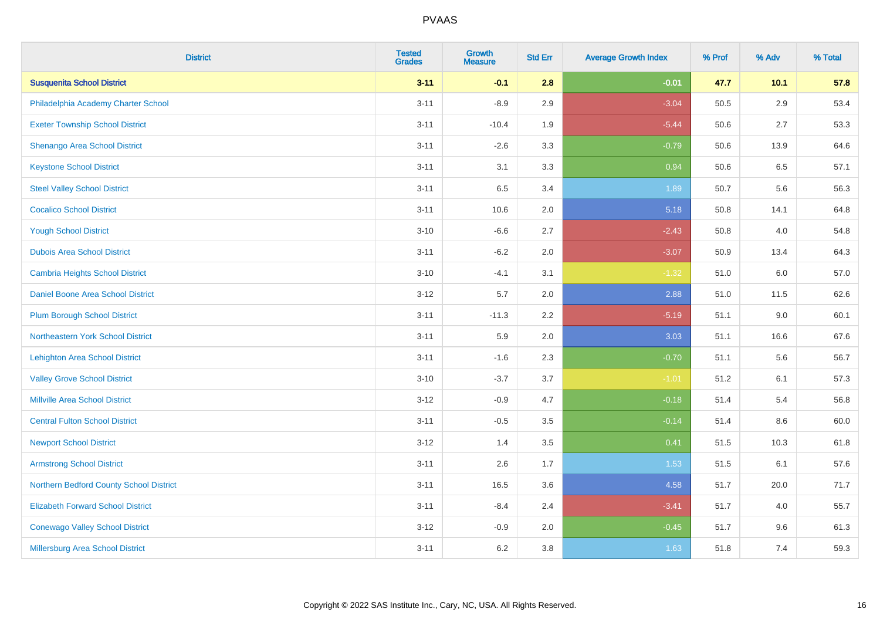| <b>District</b>                          | <b>Tested</b><br><b>Grades</b> | <b>Growth</b><br><b>Measure</b> | <b>Std Err</b> | <b>Average Growth Index</b> | % Prof | % Adv  | % Total |
|------------------------------------------|--------------------------------|---------------------------------|----------------|-----------------------------|--------|--------|---------|
| <b>Susquenita School District</b>        | $3 - 11$                       | $-0.1$                          | 2.8            | $-0.01$                     | 47.7   | $10.1$ | 57.8    |
| Philadelphia Academy Charter School      | $3 - 11$                       | $-8.9$                          | 2.9            | $-3.04$                     | 50.5   | 2.9    | 53.4    |
| <b>Exeter Township School District</b>   | $3 - 11$                       | $-10.4$                         | 1.9            | $-5.44$                     | 50.6   | 2.7    | 53.3    |
| <b>Shenango Area School District</b>     | $3 - 11$                       | $-2.6$                          | 3.3            | $-0.79$                     | 50.6   | 13.9   | 64.6    |
| <b>Keystone School District</b>          | $3 - 11$                       | 3.1                             | 3.3            | 0.94                        | 50.6   | 6.5    | 57.1    |
| <b>Steel Valley School District</b>      | $3 - 11$                       | 6.5                             | 3.4            | 1.89                        | 50.7   | 5.6    | 56.3    |
| <b>Cocalico School District</b>          | $3 - 11$                       | 10.6                            | 2.0            | 5.18                        | 50.8   | 14.1   | 64.8    |
| <b>Yough School District</b>             | $3 - 10$                       | $-6.6$                          | 2.7            | $-2.43$                     | 50.8   | 4.0    | 54.8    |
| <b>Dubois Area School District</b>       | $3 - 11$                       | $-6.2$                          | 2.0            | $-3.07$                     | 50.9   | 13.4   | 64.3    |
| <b>Cambria Heights School District</b>   | $3 - 10$                       | $-4.1$                          | 3.1            | $-1.32$                     | 51.0   | 6.0    | 57.0    |
| Daniel Boone Area School District        | $3 - 12$                       | 5.7                             | 2.0            | 2.88                        | 51.0   | 11.5   | 62.6    |
| <b>Plum Borough School District</b>      | $3 - 11$                       | $-11.3$                         | 2.2            | $-5.19$                     | 51.1   | 9.0    | 60.1    |
| Northeastern York School District        | $3 - 11$                       | 5.9                             | 2.0            | 3.03                        | 51.1   | 16.6   | 67.6    |
| <b>Lehighton Area School District</b>    | $3 - 11$                       | $-1.6$                          | 2.3            | $-0.70$                     | 51.1   | 5.6    | 56.7    |
| <b>Valley Grove School District</b>      | $3 - 10$                       | $-3.7$                          | 3.7            | $-1.01$                     | 51.2   | 6.1    | 57.3    |
| <b>Millville Area School District</b>    | $3 - 12$                       | $-0.9$                          | 4.7            | $-0.18$                     | 51.4   | 5.4    | 56.8    |
| <b>Central Fulton School District</b>    | $3 - 11$                       | $-0.5$                          | 3.5            | $-0.14$                     | 51.4   | 8.6    | 60.0    |
| <b>Newport School District</b>           | $3 - 12$                       | 1.4                             | 3.5            | 0.41                        | 51.5   | 10.3   | 61.8    |
| <b>Armstrong School District</b>         | $3 - 11$                       | 2.6                             | 1.7            | 1.53                        | 51.5   | 6.1    | 57.6    |
| Northern Bedford County School District  | $3 - 11$                       | 16.5                            | 3.6            | 4.58                        | 51.7   | 20.0   | 71.7    |
| <b>Elizabeth Forward School District</b> | $3 - 11$                       | $-8.4$                          | 2.4            | $-3.41$                     | 51.7   | 4.0    | 55.7    |
| <b>Conewago Valley School District</b>   | $3 - 12$                       | $-0.9$                          | 2.0            | $-0.45$                     | 51.7   | 9.6    | 61.3    |
| <b>Millersburg Area School District</b>  | $3 - 11$                       | $6.2\,$                         | 3.8            | 1.63                        | 51.8   | 7.4    | 59.3    |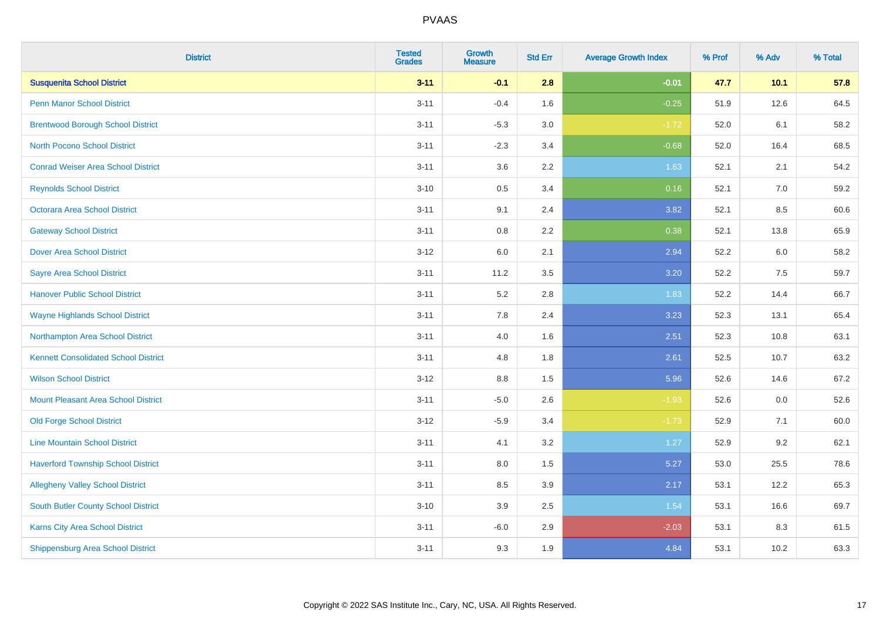| <b>District</b>                             | <b>Tested</b><br><b>Grades</b> | <b>Growth</b><br><b>Measure</b> | <b>Std Err</b> | <b>Average Growth Index</b> | % Prof | % Adv | % Total |
|---------------------------------------------|--------------------------------|---------------------------------|----------------|-----------------------------|--------|-------|---------|
| <b>Susquenita School District</b>           | $3 - 11$                       | $-0.1$                          | 2.8            | $-0.01$                     | 47.7   | 10.1  | 57.8    |
| <b>Penn Manor School District</b>           | $3 - 11$                       | $-0.4$                          | 1.6            | $-0.25$                     | 51.9   | 12.6  | 64.5    |
| <b>Brentwood Borough School District</b>    | $3 - 11$                       | $-5.3$                          | 3.0            | $-1.72$                     | 52.0   | 6.1   | 58.2    |
| <b>North Pocono School District</b>         | $3 - 11$                       | $-2.3$                          | 3.4            | $-0.68$                     | 52.0   | 16.4  | 68.5    |
| <b>Conrad Weiser Area School District</b>   | $3 - 11$                       | 3.6                             | 2.2            | 1.63                        | 52.1   | 2.1   | 54.2    |
| <b>Reynolds School District</b>             | $3 - 10$                       | $0.5\,$                         | 3.4            | 0.16                        | 52.1   | 7.0   | 59.2    |
| Octorara Area School District               | $3 - 11$                       | 9.1                             | 2.4            | 3.82                        | 52.1   | 8.5   | 60.6    |
| <b>Gateway School District</b>              | $3 - 11$                       | $0.8\,$                         | 2.2            | 0.38                        | 52.1   | 13.8  | 65.9    |
| <b>Dover Area School District</b>           | $3 - 12$                       | 6.0                             | 2.1            | 2.94                        | 52.2   | 6.0   | 58.2    |
| <b>Sayre Area School District</b>           | $3 - 11$                       | 11.2                            | 3.5            | 3.20                        | 52.2   | 7.5   | 59.7    |
| <b>Hanover Public School District</b>       | $3 - 11$                       | 5.2                             | 2.8            | 1.83                        | 52.2   | 14.4  | 66.7    |
| <b>Wayne Highlands School District</b>      | $3 - 11$                       | 7.8                             | 2.4            | 3.23                        | 52.3   | 13.1  | 65.4    |
| Northampton Area School District            | $3 - 11$                       | 4.0                             | 1.6            | 2.51                        | 52.3   | 10.8  | 63.1    |
| <b>Kennett Consolidated School District</b> | $3 - 11$                       | 4.8                             | 1.8            | 2.61                        | 52.5   | 10.7  | 63.2    |
| <b>Wilson School District</b>               | $3 - 12$                       | $8.8\,$                         | 1.5            | 5.96                        | 52.6   | 14.6  | 67.2    |
| <b>Mount Pleasant Area School District</b>  | $3 - 11$                       | $-5.0$                          | 2.6            | $-1.93$                     | 52.6   | 0.0   | 52.6    |
| <b>Old Forge School District</b>            | $3 - 12$                       | $-5.9$                          | 3.4            | $-1.73$                     | 52.9   | 7.1   | 60.0    |
| <b>Line Mountain School District</b>        | $3 - 11$                       | 4.1                             | 3.2            | 1.27                        | 52.9   | 9.2   | 62.1    |
| <b>Haverford Township School District</b>   | $3 - 11$                       | 8.0                             | 1.5            | 5.27                        | 53.0   | 25.5  | 78.6    |
| <b>Allegheny Valley School District</b>     | $3 - 11$                       | 8.5                             | 3.9            | 2.17                        | 53.1   | 12.2  | 65.3    |
| <b>South Butler County School District</b>  | $3 - 10$                       | 3.9                             | 2.5            | 1.54                        | 53.1   | 16.6  | 69.7    |
| Karns City Area School District             | $3 - 11$                       | $-6.0$                          | 2.9            | $-2.03$                     | 53.1   | 8.3   | 61.5    |
| <b>Shippensburg Area School District</b>    | $3 - 11$                       | 9.3                             | 1.9            | 4.84                        | 53.1   | 10.2  | 63.3    |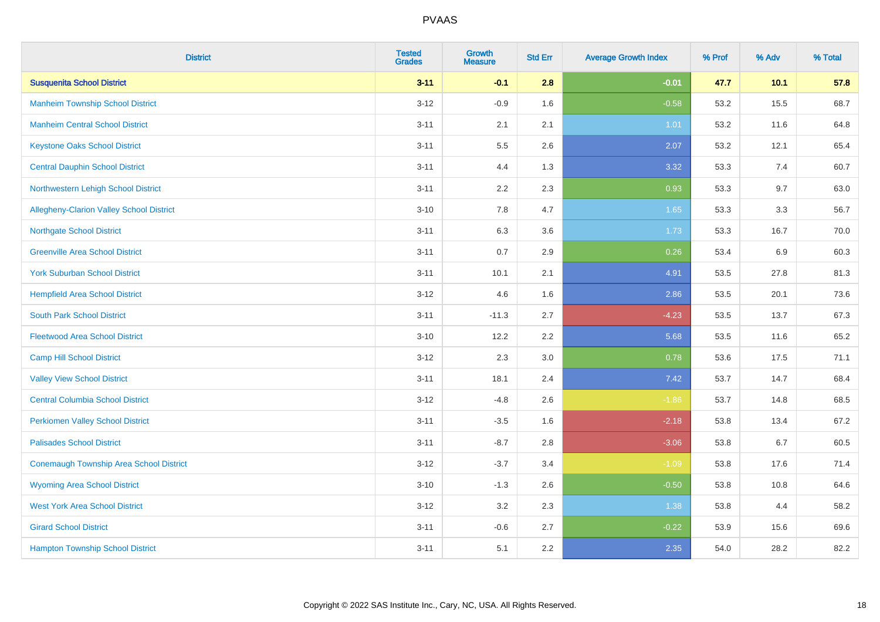| <b>District</b>                          | <b>Tested</b><br><b>Grades</b> | <b>Growth</b><br><b>Measure</b> | <b>Std Err</b> | <b>Average Growth Index</b> | % Prof | % Adv  | % Total |
|------------------------------------------|--------------------------------|---------------------------------|----------------|-----------------------------|--------|--------|---------|
| <b>Susquenita School District</b>        | $3 - 11$                       | $-0.1$                          | 2.8            | $-0.01$                     | 47.7   | $10.1$ | 57.8    |
| <b>Manheim Township School District</b>  | $3 - 12$                       | $-0.9$                          | 1.6            | $-0.58$                     | 53.2   | 15.5   | 68.7    |
| <b>Manheim Central School District</b>   | $3 - 11$                       | 2.1                             | 2.1            | 1.01                        | 53.2   | 11.6   | 64.8    |
| <b>Keystone Oaks School District</b>     | $3 - 11$                       | 5.5                             | 2.6            | 2.07                        | 53.2   | 12.1   | 65.4    |
| <b>Central Dauphin School District</b>   | $3 - 11$                       | 4.4                             | 1.3            | 3.32                        | 53.3   | 7.4    | 60.7    |
| Northwestern Lehigh School District      | $3 - 11$                       | 2.2                             | 2.3            | 0.93                        | 53.3   | 9.7    | 63.0    |
| Allegheny-Clarion Valley School District | $3 - 10$                       | 7.8                             | 4.7            | 1.65                        | 53.3   | 3.3    | 56.7    |
| <b>Northgate School District</b>         | $3 - 11$                       | 6.3                             | 3.6            | 1.73                        | 53.3   | 16.7   | 70.0    |
| <b>Greenville Area School District</b>   | $3 - 11$                       | 0.7                             | 2.9            | 0.26                        | 53.4   | 6.9    | 60.3    |
| <b>York Suburban School District</b>     | $3 - 11$                       | 10.1                            | 2.1            | 4.91                        | 53.5   | 27.8   | 81.3    |
| <b>Hempfield Area School District</b>    | $3-12$                         | 4.6                             | 1.6            | 2.86                        | 53.5   | 20.1   | 73.6    |
| <b>South Park School District</b>        | $3 - 11$                       | $-11.3$                         | 2.7            | $-4.23$                     | 53.5   | 13.7   | 67.3    |
| <b>Fleetwood Area School District</b>    | $3 - 10$                       | 12.2                            | 2.2            | 5.68                        | 53.5   | 11.6   | 65.2    |
| <b>Camp Hill School District</b>         | $3 - 12$                       | 2.3                             | 3.0            | 0.78                        | 53.6   | 17.5   | 71.1    |
| <b>Valley View School District</b>       | $3 - 11$                       | 18.1                            | 2.4            | 7.42                        | 53.7   | 14.7   | 68.4    |
| <b>Central Columbia School District</b>  | $3 - 12$                       | $-4.8$                          | 2.6            | $-1.86$                     | 53.7   | 14.8   | 68.5    |
| <b>Perkiomen Valley School District</b>  | $3 - 11$                       | $-3.5$                          | 1.6            | $-2.18$                     | 53.8   | 13.4   | 67.2    |
| <b>Palisades School District</b>         | $3 - 11$                       | $-8.7$                          | 2.8            | $-3.06$                     | 53.8   | 6.7    | 60.5    |
| Conemaugh Township Area School District  | $3 - 12$                       | $-3.7$                          | 3.4            | $-1.09$                     | 53.8   | 17.6   | 71.4    |
| <b>Wyoming Area School District</b>      | $3 - 10$                       | $-1.3$                          | 2.6            | $-0.50$                     | 53.8   | 10.8   | 64.6    |
| <b>West York Area School District</b>    | $3 - 12$                       | 3.2                             | 2.3            | 1.38                        | 53.8   | 4.4    | 58.2    |
| <b>Girard School District</b>            | $3 - 11$                       | $-0.6$                          | 2.7            | $-0.22$                     | 53.9   | 15.6   | 69.6    |
| <b>Hampton Township School District</b>  | $3 - 11$                       | 5.1                             | 2.2            | 2.35                        | 54.0   | 28.2   | 82.2    |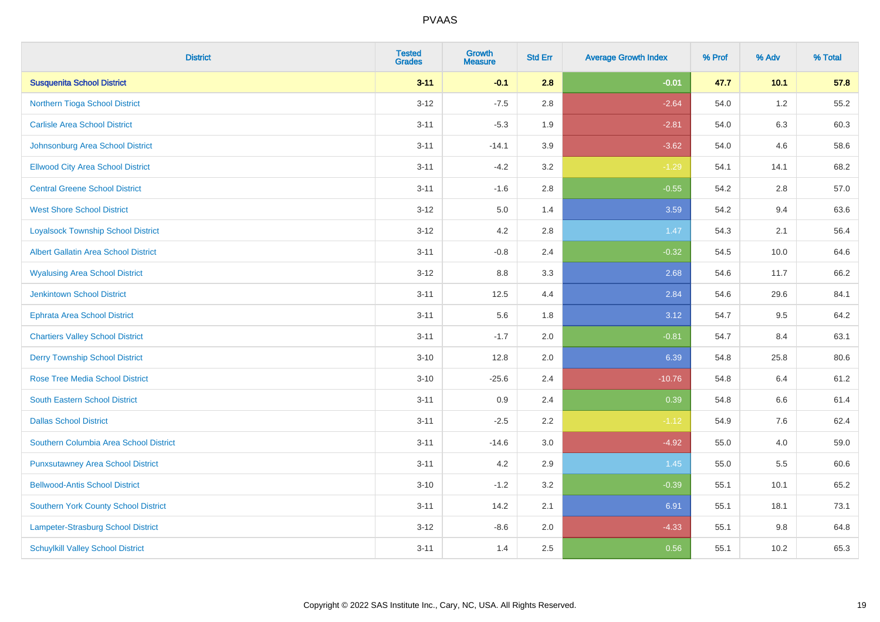| <b>District</b>                             | <b>Tested</b><br><b>Grades</b> | <b>Growth</b><br><b>Measure</b> | <b>Std Err</b> | <b>Average Growth Index</b> | % Prof | % Adv   | % Total |
|---------------------------------------------|--------------------------------|---------------------------------|----------------|-----------------------------|--------|---------|---------|
| <b>Susquenita School District</b>           | $3 - 11$                       | $-0.1$                          | 2.8            | $-0.01$                     | 47.7   | 10.1    | 57.8    |
| Northern Tioga School District              | $3 - 12$                       | $-7.5$                          | 2.8            | $-2.64$                     | 54.0   | $1.2\,$ | 55.2    |
| <b>Carlisle Area School District</b>        | $3 - 11$                       | $-5.3$                          | 1.9            | $-2.81$                     | 54.0   | 6.3     | 60.3    |
| Johnsonburg Area School District            | $3 - 11$                       | $-14.1$                         | 3.9            | $-3.62$                     | 54.0   | 4.6     | 58.6    |
| <b>Ellwood City Area School District</b>    | $3 - 11$                       | $-4.2$                          | 3.2            | $-1.29$                     | 54.1   | 14.1    | 68.2    |
| <b>Central Greene School District</b>       | $3 - 11$                       | $-1.6$                          | 2.8            | $-0.55$                     | 54.2   | 2.8     | 57.0    |
| <b>West Shore School District</b>           | $3 - 12$                       | 5.0                             | 1.4            | 3.59                        | 54.2   | 9.4     | 63.6    |
| <b>Loyalsock Township School District</b>   | $3 - 12$                       | 4.2                             | 2.8            | 1.47                        | 54.3   | 2.1     | 56.4    |
| <b>Albert Gallatin Area School District</b> | $3 - 11$                       | $-0.8$                          | 2.4            | $-0.32$                     | 54.5   | 10.0    | 64.6    |
| <b>Wyalusing Area School District</b>       | $3 - 12$                       | 8.8                             | 3.3            | 2.68                        | 54.6   | 11.7    | 66.2    |
| <b>Jenkintown School District</b>           | $3 - 11$                       | 12.5                            | 4.4            | 2.84                        | 54.6   | 29.6    | 84.1    |
| <b>Ephrata Area School District</b>         | $3 - 11$                       | 5.6                             | 1.8            | 3.12                        | 54.7   | 9.5     | 64.2    |
| <b>Chartiers Valley School District</b>     | $3 - 11$                       | $-1.7$                          | 2.0            | $-0.81$                     | 54.7   | 8.4     | 63.1    |
| <b>Derry Township School District</b>       | $3 - 10$                       | 12.8                            | 2.0            | 6.39                        | 54.8   | 25.8    | 80.6    |
| <b>Rose Tree Media School District</b>      | $3 - 10$                       | $-25.6$                         | 2.4            | $-10.76$                    | 54.8   | 6.4     | 61.2    |
| <b>South Eastern School District</b>        | $3 - 11$                       | 0.9                             | 2.4            | 0.39                        | 54.8   | $6.6\,$ | 61.4    |
| <b>Dallas School District</b>               | $3 - 11$                       | $-2.5$                          | 2.2            | $-1.12$                     | 54.9   | 7.6     | 62.4    |
| Southern Columbia Area School District      | $3 - 11$                       | $-14.6$                         | 3.0            | $-4.92$                     | 55.0   | 4.0     | 59.0    |
| <b>Punxsutawney Area School District</b>    | $3 - 11$                       | 4.2                             | 2.9            | 1.45                        | 55.0   | 5.5     | 60.6    |
| <b>Bellwood-Antis School District</b>       | $3 - 10$                       | $-1.2$                          | 3.2            | $-0.39$                     | 55.1   | 10.1    | 65.2    |
| <b>Southern York County School District</b> | $3 - 11$                       | 14.2                            | 2.1            | 6.91                        | 55.1   | 18.1    | 73.1    |
| Lampeter-Strasburg School District          | $3 - 12$                       | $-8.6$                          | 2.0            | $-4.33$                     | 55.1   | 9.8     | 64.8    |
| <b>Schuylkill Valley School District</b>    | $3 - 11$                       | 1.4                             | 2.5            | 0.56                        | 55.1   | 10.2    | 65.3    |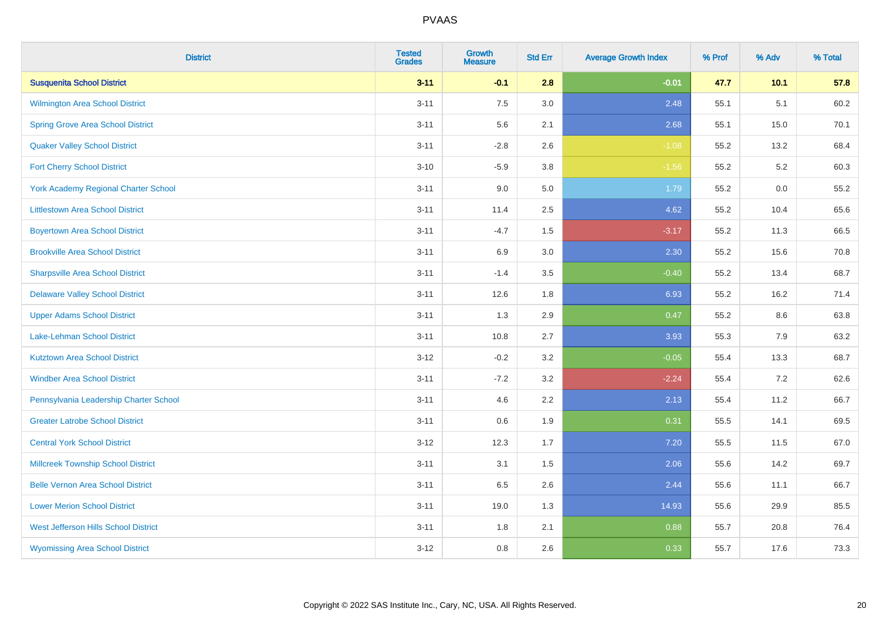| <b>District</b>                             | <b>Tested</b><br><b>Grades</b> | <b>Growth</b><br><b>Measure</b> | <b>Std Err</b> | <b>Average Growth Index</b> | % Prof | % Adv | % Total |
|---------------------------------------------|--------------------------------|---------------------------------|----------------|-----------------------------|--------|-------|---------|
| <b>Susquenita School District</b>           | $3 - 11$                       | $-0.1$                          | 2.8            | $-0.01$                     | 47.7   | 10.1  | 57.8    |
| <b>Wilmington Area School District</b>      | $3 - 11$                       | 7.5                             | 3.0            | 2.48                        | 55.1   | 5.1   | 60.2    |
| <b>Spring Grove Area School District</b>    | $3 - 11$                       | 5.6                             | 2.1            | 2.68                        | 55.1   | 15.0  | 70.1    |
| <b>Quaker Valley School District</b>        | $3 - 11$                       | $-2.8$                          | 2.6            | $-1.08$                     | 55.2   | 13.2  | 68.4    |
| <b>Fort Cherry School District</b>          | $3 - 10$                       | $-5.9$                          | 3.8            | $-1.56$                     | 55.2   | 5.2   | 60.3    |
| <b>York Academy Regional Charter School</b> | $3 - 11$                       | 9.0                             | 5.0            | 1.79                        | 55.2   | 0.0   | 55.2    |
| <b>Littlestown Area School District</b>     | $3 - 11$                       | 11.4                            | 2.5            | 4.62                        | 55.2   | 10.4  | 65.6    |
| <b>Boyertown Area School District</b>       | $3 - 11$                       | $-4.7$                          | 1.5            | $-3.17$                     | 55.2   | 11.3  | 66.5    |
| <b>Brookville Area School District</b>      | $3 - 11$                       | 6.9                             | 3.0            | 2.30                        | 55.2   | 15.6  | 70.8    |
| <b>Sharpsville Area School District</b>     | $3 - 11$                       | $-1.4$                          | 3.5            | $-0.40$                     | 55.2   | 13.4  | 68.7    |
| <b>Delaware Valley School District</b>      | $3 - 11$                       | 12.6                            | 1.8            | 6.93                        | 55.2   | 16.2  | 71.4    |
| <b>Upper Adams School District</b>          | $3 - 11$                       | 1.3                             | 2.9            | 0.47                        | 55.2   | 8.6   | 63.8    |
| Lake-Lehman School District                 | $3 - 11$                       | 10.8                            | 2.7            | 3.93                        | 55.3   | 7.9   | 63.2    |
| <b>Kutztown Area School District</b>        | $3 - 12$                       | $-0.2$                          | 3.2            | $-0.05$                     | 55.4   | 13.3  | 68.7    |
| <b>Windber Area School District</b>         | $3 - 11$                       | $-7.2$                          | 3.2            | $-2.24$                     | 55.4   | 7.2   | 62.6    |
| Pennsylvania Leadership Charter School      | $3 - 11$                       | 4.6                             | 2.2            | 2.13                        | 55.4   | 11.2  | 66.7    |
| <b>Greater Latrobe School District</b>      | $3 - 11$                       | 0.6                             | 1.9            | 0.31                        | 55.5   | 14.1  | 69.5    |
| <b>Central York School District</b>         | $3 - 12$                       | 12.3                            | 1.7            | 7.20                        | 55.5   | 11.5  | 67.0    |
| <b>Millcreek Township School District</b>   | $3 - 11$                       | 3.1                             | 1.5            | 2.06                        | 55.6   | 14.2  | 69.7    |
| <b>Belle Vernon Area School District</b>    | $3 - 11$                       | 6.5                             | 2.6            | 2.44                        | 55.6   | 11.1  | 66.7    |
| <b>Lower Merion School District</b>         | $3 - 11$                       | 19.0                            | 1.3            | 14.93                       | 55.6   | 29.9  | 85.5    |
| West Jefferson Hills School District        | $3 - 11$                       | 1.8                             | 2.1            | 0.88                        | 55.7   | 20.8  | 76.4    |
| <b>Wyomissing Area School District</b>      | $3 - 12$                       | $0.8\,$                         | 2.6            | 0.33                        | 55.7   | 17.6  | 73.3    |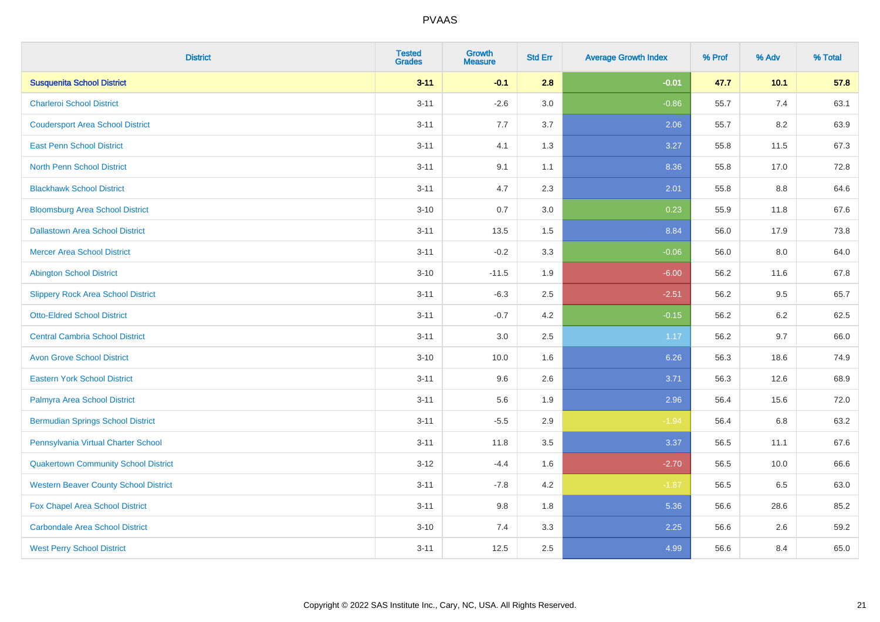| <b>District</b>                              | <b>Tested</b><br><b>Grades</b> | <b>Growth</b><br><b>Measure</b> | <b>Std Err</b> | <b>Average Growth Index</b> | % Prof | % Adv | % Total |
|----------------------------------------------|--------------------------------|---------------------------------|----------------|-----------------------------|--------|-------|---------|
| <b>Susquenita School District</b>            | $3 - 11$                       | $-0.1$                          | 2.8            | $-0.01$                     | 47.7   | 10.1  | 57.8    |
| <b>Charleroi School District</b>             | $3 - 11$                       | $-2.6$                          | 3.0            | $-0.86$                     | 55.7   | 7.4   | 63.1    |
| <b>Coudersport Area School District</b>      | $3 - 11$                       | 7.7                             | 3.7            | 2.06                        | 55.7   | 8.2   | 63.9    |
| <b>East Penn School District</b>             | $3 - 11$                       | 4.1                             | 1.3            | 3.27                        | 55.8   | 11.5  | 67.3    |
| <b>North Penn School District</b>            | $3 - 11$                       | 9.1                             | 1.1            | 8.36                        | 55.8   | 17.0  | 72.8    |
| <b>Blackhawk School District</b>             | $3 - 11$                       | 4.7                             | 2.3            | 2.01                        | 55.8   | 8.8   | 64.6    |
| <b>Bloomsburg Area School District</b>       | $3 - 10$                       | 0.7                             | 3.0            | 0.23                        | 55.9   | 11.8  | 67.6    |
| <b>Dallastown Area School District</b>       | $3 - 11$                       | 13.5                            | 1.5            | 8.84                        | 56.0   | 17.9  | 73.8    |
| <b>Mercer Area School District</b>           | $3 - 11$                       | $-0.2$                          | 3.3            | $-0.06$                     | 56.0   | 8.0   | 64.0    |
| <b>Abington School District</b>              | $3 - 10$                       | $-11.5$                         | 1.9            | $-6.00$                     | 56.2   | 11.6  | 67.8    |
| <b>Slippery Rock Area School District</b>    | $3 - 11$                       | $-6.3$                          | 2.5            | $-2.51$                     | 56.2   | 9.5   | 65.7    |
| <b>Otto-Eldred School District</b>           | $3 - 11$                       | $-0.7$                          | 4.2            | $-0.15$                     | 56.2   | 6.2   | 62.5    |
| <b>Central Cambria School District</b>       | $3 - 11$                       | $3.0\,$                         | 2.5            | 1.17                        | 56.2   | 9.7   | 66.0    |
| <b>Avon Grove School District</b>            | $3 - 10$                       | 10.0                            | 1.6            | 6.26                        | 56.3   | 18.6  | 74.9    |
| <b>Eastern York School District</b>          | $3 - 11$                       | 9.6                             | 2.6            | 3.71                        | 56.3   | 12.6  | 68.9    |
| Palmyra Area School District                 | $3 - 11$                       | 5.6                             | 1.9            | 2.96                        | 56.4   | 15.6  | 72.0    |
| <b>Bermudian Springs School District</b>     | $3 - 11$                       | $-5.5$                          | 2.9            | $-1.94$                     | 56.4   | 6.8   | 63.2    |
| Pennsylvania Virtual Charter School          | $3 - 11$                       | 11.8                            | 3.5            | 3.37                        | 56.5   | 11.1  | 67.6    |
| <b>Quakertown Community School District</b>  | $3 - 12$                       | $-4.4$                          | 1.6            | $-2.70$                     | 56.5   | 10.0  | 66.6    |
| <b>Western Beaver County School District</b> | $3 - 11$                       | $-7.8$                          | 4.2            | $-1.87$                     | 56.5   | 6.5   | 63.0    |
| Fox Chapel Area School District              | $3 - 11$                       | 9.8                             | 1.8            | 5.36                        | 56.6   | 28.6  | 85.2    |
| <b>Carbondale Area School District</b>       | $3 - 10$                       | 7.4                             | 3.3            | 2.25                        | 56.6   | 2.6   | 59.2    |
| <b>West Perry School District</b>            | $3 - 11$                       | 12.5                            | 2.5            | 4.99                        | 56.6   | 8.4   | 65.0    |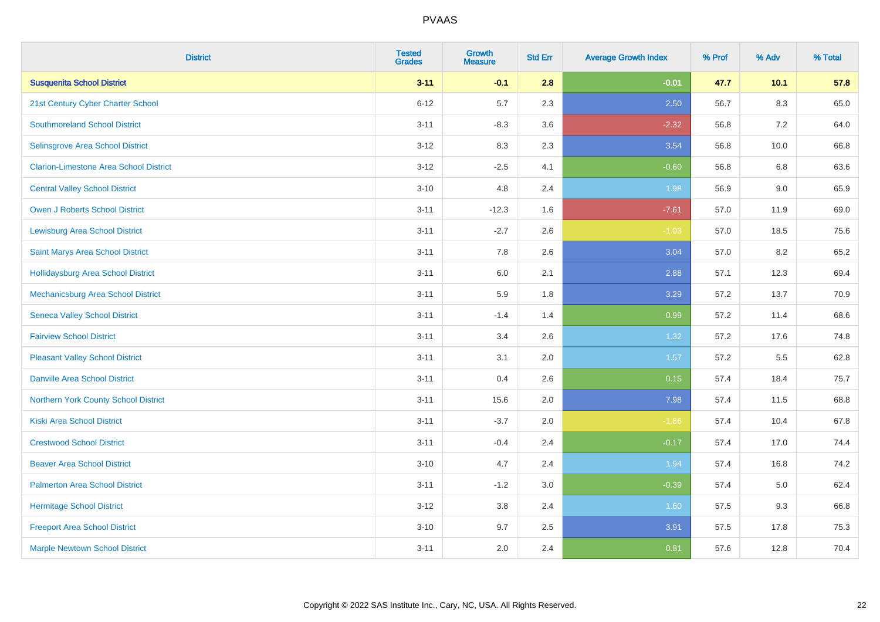| <b>District</b>                               | <b>Tested</b><br><b>Grades</b> | <b>Growth</b><br><b>Measure</b> | <b>Std Err</b> | <b>Average Growth Index</b> | % Prof | % Adv   | % Total |
|-----------------------------------------------|--------------------------------|---------------------------------|----------------|-----------------------------|--------|---------|---------|
| <b>Susquenita School District</b>             | $3 - 11$                       | $-0.1$                          | 2.8            | $-0.01$                     | 47.7   | $10.1$  | 57.8    |
| 21st Century Cyber Charter School             | $6 - 12$                       | 5.7                             | 2.3            | 2.50                        | 56.7   | $8.3\,$ | 65.0    |
| <b>Southmoreland School District</b>          | $3 - 11$                       | $-8.3$                          | 3.6            | $-2.32$                     | 56.8   | 7.2     | 64.0    |
| Selinsgrove Area School District              | $3-12$                         | 8.3                             | 2.3            | 3.54                        | 56.8   | 10.0    | 66.8    |
| <b>Clarion-Limestone Area School District</b> | $3 - 12$                       | $-2.5$                          | 4.1            | $-0.60$                     | 56.8   | 6.8     | 63.6    |
| <b>Central Valley School District</b>         | $3 - 10$                       | 4.8                             | 2.4            | 1.98                        | 56.9   | 9.0     | 65.9    |
| Owen J Roberts School District                | $3 - 11$                       | $-12.3$                         | 1.6            | $-7.61$                     | 57.0   | 11.9    | 69.0    |
| <b>Lewisburg Area School District</b>         | $3 - 11$                       | $-2.7$                          | 2.6            | $-1.03$                     | 57.0   | 18.5    | 75.6    |
| Saint Marys Area School District              | $3 - 11$                       | 7.8                             | 2.6            | 3.04                        | 57.0   | 8.2     | 65.2    |
| <b>Hollidaysburg Area School District</b>     | $3 - 11$                       | 6.0                             | 2.1            | 2.88                        | 57.1   | 12.3    | 69.4    |
| Mechanicsburg Area School District            | $3 - 11$                       | 5.9                             | 1.8            | 3.29                        | 57.2   | 13.7    | 70.9    |
| <b>Seneca Valley School District</b>          | $3 - 11$                       | $-1.4$                          | 1.4            | $-0.99$                     | 57.2   | 11.4    | 68.6    |
| <b>Fairview School District</b>               | $3 - 11$                       | 3.4                             | 2.6            | 1.32                        | 57.2   | 17.6    | 74.8    |
| <b>Pleasant Valley School District</b>        | $3 - 11$                       | 3.1                             | 2.0            | 1.57                        | 57.2   | 5.5     | 62.8    |
| <b>Danville Area School District</b>          | $3 - 11$                       | 0.4                             | 2.6            | 0.15                        | 57.4   | 18.4    | 75.7    |
| Northern York County School District          | $3 - 11$                       | 15.6                            | 2.0            | 7.98                        | 57.4   | 11.5    | 68.8    |
| <b>Kiski Area School District</b>             | $3 - 11$                       | $-3.7$                          | 2.0            | $-1.86$                     | 57.4   | 10.4    | 67.8    |
| <b>Crestwood School District</b>              | $3 - 11$                       | $-0.4$                          | 2.4            | $-0.17$                     | 57.4   | 17.0    | 74.4    |
| <b>Beaver Area School District</b>            | $3 - 10$                       | 4.7                             | 2.4            | 1.94                        | 57.4   | 16.8    | 74.2    |
| <b>Palmerton Area School District</b>         | $3 - 11$                       | $-1.2$                          | $3.0\,$        | $-0.39$                     | 57.4   | 5.0     | 62.4    |
| <b>Hermitage School District</b>              | $3 - 12$                       | 3.8                             | 2.4            | 1.60                        | 57.5   | 9.3     | 66.8    |
| <b>Freeport Area School District</b>          | $3 - 10$                       | 9.7                             | 2.5            | 3.91                        | 57.5   | 17.8    | 75.3    |
| <b>Marple Newtown School District</b>         | $3 - 11$                       | 2.0                             | 2.4            | 0.81                        | 57.6   | 12.8    | 70.4    |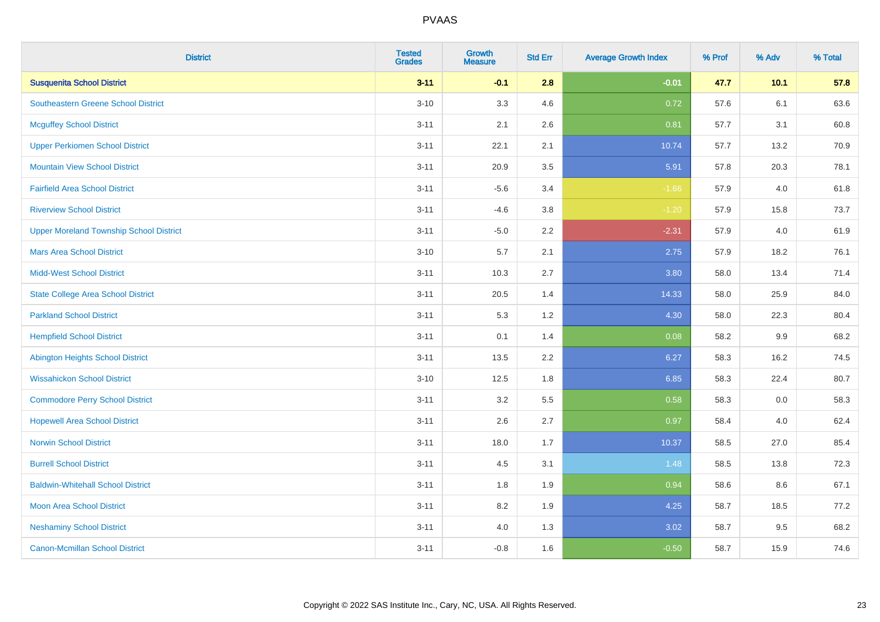| <b>District</b>                                | <b>Tested</b><br><b>Grades</b> | <b>Growth</b><br><b>Measure</b> | <b>Std Err</b> | <b>Average Growth Index</b> | % Prof | % Adv  | % Total |
|------------------------------------------------|--------------------------------|---------------------------------|----------------|-----------------------------|--------|--------|---------|
| <b>Susquenita School District</b>              | $3 - 11$                       | $-0.1$                          | 2.8            | $-0.01$                     | 47.7   | $10.1$ | 57.8    |
| Southeastern Greene School District            | $3 - 10$                       | 3.3                             | 4.6            | 0.72                        | 57.6   | 6.1    | 63.6    |
| <b>Mcguffey School District</b>                | $3 - 11$                       | 2.1                             | 2.6            | 0.81                        | 57.7   | 3.1    | 60.8    |
| <b>Upper Perkiomen School District</b>         | $3 - 11$                       | 22.1                            | 2.1            | 10.74                       | 57.7   | 13.2   | 70.9    |
| <b>Mountain View School District</b>           | $3 - 11$                       | 20.9                            | 3.5            | 5.91                        | 57.8   | 20.3   | 78.1    |
| <b>Fairfield Area School District</b>          | $3 - 11$                       | $-5.6$                          | 3.4            | $-1.66$                     | 57.9   | 4.0    | 61.8    |
| <b>Riverview School District</b>               | $3 - 11$                       | $-4.6$                          | 3.8            | $-1.20$                     | 57.9   | 15.8   | 73.7    |
| <b>Upper Moreland Township School District</b> | $3 - 11$                       | $-5.0$                          | 2.2            | $-2.31$                     | 57.9   | 4.0    | 61.9    |
| <b>Mars Area School District</b>               | $3 - 10$                       | 5.7                             | 2.1            | 2.75                        | 57.9   | 18.2   | 76.1    |
| <b>Midd-West School District</b>               | $3 - 11$                       | 10.3                            | 2.7            | 3.80                        | 58.0   | 13.4   | 71.4    |
| <b>State College Area School District</b>      | $3 - 11$                       | 20.5                            | 1.4            | 14.33                       | 58.0   | 25.9   | 84.0    |
| <b>Parkland School District</b>                | $3 - 11$                       | 5.3                             | 1.2            | 4.30                        | 58.0   | 22.3   | 80.4    |
| <b>Hempfield School District</b>               | $3 - 11$                       | 0.1                             | 1.4            | 0.08                        | 58.2   | 9.9    | 68.2    |
| <b>Abington Heights School District</b>        | $3 - 11$                       | 13.5                            | 2.2            | 6.27                        | 58.3   | 16.2   | 74.5    |
| <b>Wissahickon School District</b>             | $3 - 10$                       | 12.5                            | 1.8            | 6.85                        | 58.3   | 22.4   | 80.7    |
| <b>Commodore Perry School District</b>         | $3 - 11$                       | 3.2                             | 5.5            | 0.58                        | 58.3   | 0.0    | 58.3    |
| <b>Hopewell Area School District</b>           | $3 - 11$                       | 2.6                             | 2.7            | 0.97                        | 58.4   | 4.0    | 62.4    |
| <b>Norwin School District</b>                  | $3 - 11$                       | 18.0                            | 1.7            | 10.37                       | 58.5   | 27.0   | 85.4    |
| <b>Burrell School District</b>                 | $3 - 11$                       | 4.5                             | 3.1            | 1.48                        | 58.5   | 13.8   | 72.3    |
| <b>Baldwin-Whitehall School District</b>       | $3 - 11$                       | 1.8                             | 1.9            | 0.94                        | 58.6   | 8.6    | 67.1    |
| <b>Moon Area School District</b>               | $3 - 11$                       | 8.2                             | 1.9            | 4.25                        | 58.7   | 18.5   | 77.2    |
| <b>Neshaminy School District</b>               | $3 - 11$                       | 4.0                             | 1.3            | 3.02                        | 58.7   | 9.5    | 68.2    |
| <b>Canon-Mcmillan School District</b>          | $3 - 11$                       | $-0.8$                          | 1.6            | $-0.50$                     | 58.7   | 15.9   | 74.6    |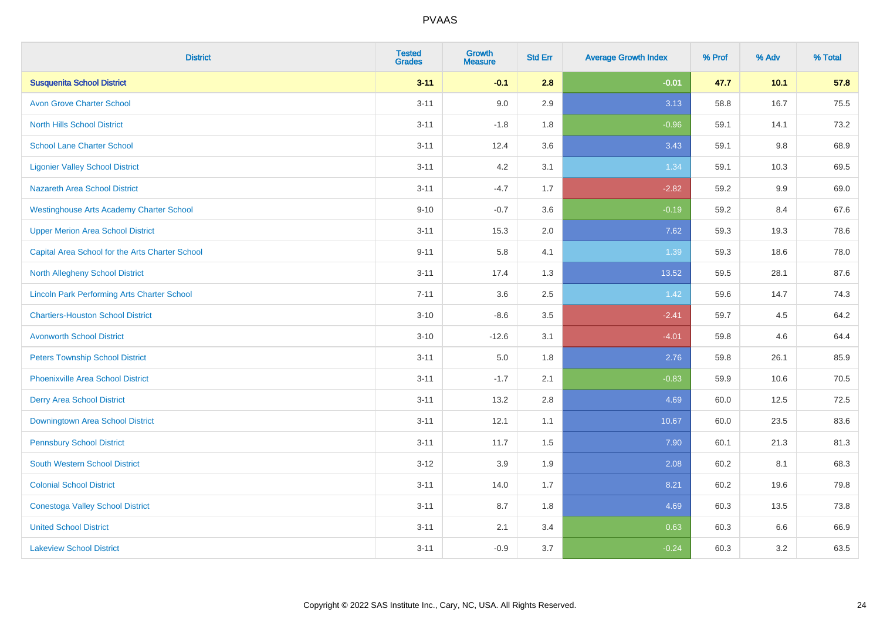| <b>District</b>                                    | <b>Tested</b><br><b>Grades</b> | <b>Growth</b><br><b>Measure</b> | <b>Std Err</b> | <b>Average Growth Index</b> | % Prof | % Adv | % Total |
|----------------------------------------------------|--------------------------------|---------------------------------|----------------|-----------------------------|--------|-------|---------|
| <b>Susquenita School District</b>                  | $3 - 11$                       | $-0.1$                          | 2.8            | $-0.01$                     | 47.7   | 10.1  | 57.8    |
| <b>Avon Grove Charter School</b>                   | $3 - 11$                       | 9.0                             | 2.9            | 3.13                        | 58.8   | 16.7  | 75.5    |
| <b>North Hills School District</b>                 | $3 - 11$                       | $-1.8$                          | 1.8            | $-0.96$                     | 59.1   | 14.1  | 73.2    |
| <b>School Lane Charter School</b>                  | $3 - 11$                       | 12.4                            | 3.6            | 3.43                        | 59.1   | 9.8   | 68.9    |
| <b>Ligonier Valley School District</b>             | $3 - 11$                       | 4.2                             | 3.1            | 1.34                        | 59.1   | 10.3  | 69.5    |
| <b>Nazareth Area School District</b>               | $3 - 11$                       | $-4.7$                          | 1.7            | $-2.82$                     | 59.2   | 9.9   | 69.0    |
| <b>Westinghouse Arts Academy Charter School</b>    | $9 - 10$                       | $-0.7$                          | 3.6            | $-0.19$                     | 59.2   | 8.4   | 67.6    |
| <b>Upper Merion Area School District</b>           | $3 - 11$                       | 15.3                            | 2.0            | 7.62                        | 59.3   | 19.3  | 78.6    |
| Capital Area School for the Arts Charter School    | $9 - 11$                       | 5.8                             | 4.1            | 1.39                        | 59.3   | 18.6  | 78.0    |
| <b>North Allegheny School District</b>             | $3 - 11$                       | 17.4                            | 1.3            | 13.52                       | 59.5   | 28.1  | 87.6    |
| <b>Lincoln Park Performing Arts Charter School</b> | $7 - 11$                       | 3.6                             | 2.5            | 1.42                        | 59.6   | 14.7  | 74.3    |
| <b>Chartiers-Houston School District</b>           | $3 - 10$                       | $-8.6$                          | 3.5            | $-2.41$                     | 59.7   | 4.5   | 64.2    |
| <b>Avonworth School District</b>                   | $3 - 10$                       | $-12.6$                         | 3.1            | $-4.01$                     | 59.8   | 4.6   | 64.4    |
| <b>Peters Township School District</b>             | $3 - 11$                       | 5.0                             | 1.8            | 2.76                        | 59.8   | 26.1  | 85.9    |
| <b>Phoenixville Area School District</b>           | $3 - 11$                       | $-1.7$                          | 2.1            | $-0.83$                     | 59.9   | 10.6  | 70.5    |
| <b>Derry Area School District</b>                  | $3 - 11$                       | 13.2                            | 2.8            | 4.69                        | 60.0   | 12.5  | 72.5    |
| Downingtown Area School District                   | $3 - 11$                       | 12.1                            | 1.1            | 10.67                       | 60.0   | 23.5  | 83.6    |
| <b>Pennsbury School District</b>                   | $3 - 11$                       | 11.7                            | 1.5            | 7.90                        | 60.1   | 21.3  | 81.3    |
| <b>South Western School District</b>               | $3 - 12$                       | 3.9                             | 1.9            | 2.08                        | 60.2   | 8.1   | 68.3    |
| <b>Colonial School District</b>                    | $3 - 11$                       | 14.0                            | 1.7            | 8.21                        | 60.2   | 19.6  | 79.8    |
| <b>Conestoga Valley School District</b>            | $3 - 11$                       | 8.7                             | 1.8            | 4.69                        | 60.3   | 13.5  | 73.8    |
| <b>United School District</b>                      | $3 - 11$                       | 2.1                             | 3.4            | 0.63                        | 60.3   | 6.6   | 66.9    |
| <b>Lakeview School District</b>                    | $3 - 11$                       | $-0.9$                          | 3.7            | $-0.24$                     | 60.3   | 3.2   | 63.5    |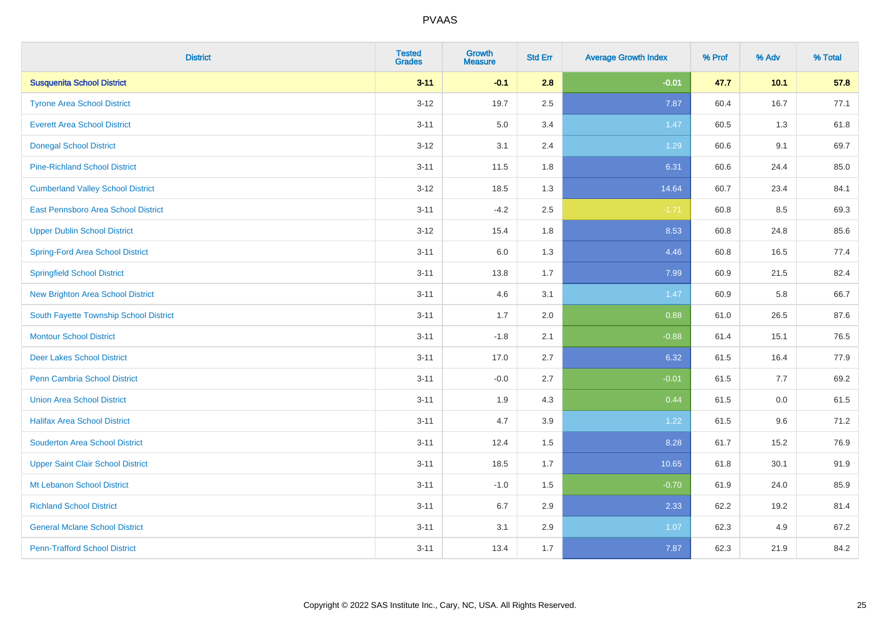| <b>District</b>                          | <b>Tested</b><br><b>Grades</b> | <b>Growth</b><br><b>Measure</b> | <b>Std Err</b> | <b>Average Growth Index</b> | % Prof | % Adv | % Total |
|------------------------------------------|--------------------------------|---------------------------------|----------------|-----------------------------|--------|-------|---------|
| <b>Susquenita School District</b>        | $3 - 11$                       | $-0.1$                          | 2.8            | $-0.01$                     | 47.7   | 10.1  | 57.8    |
| <b>Tyrone Area School District</b>       | $3 - 12$                       | 19.7                            | 2.5            | 7.87                        | 60.4   | 16.7  | 77.1    |
| <b>Everett Area School District</b>      | $3 - 11$                       | 5.0                             | 3.4            | 1.47                        | 60.5   | 1.3   | 61.8    |
| <b>Donegal School District</b>           | $3 - 12$                       | 3.1                             | 2.4            | 1.29                        | 60.6   | 9.1   | 69.7    |
| <b>Pine-Richland School District</b>     | $3 - 11$                       | 11.5                            | 1.8            | 6.31                        | 60.6   | 24.4  | 85.0    |
| <b>Cumberland Valley School District</b> | $3 - 12$                       | 18.5                            | 1.3            | 14.64                       | 60.7   | 23.4  | 84.1    |
| East Pennsboro Area School District      | $3 - 11$                       | $-4.2$                          | 2.5            | $-1.71$                     | 60.8   | 8.5   | 69.3    |
| <b>Upper Dublin School District</b>      | $3 - 12$                       | 15.4                            | 1.8            | 8.53                        | 60.8   | 24.8  | 85.6    |
| <b>Spring-Ford Area School District</b>  | $3 - 11$                       | 6.0                             | 1.3            | 4.46                        | 60.8   | 16.5  | 77.4    |
| <b>Springfield School District</b>       | $3 - 11$                       | 13.8                            | 1.7            | 7.99                        | 60.9   | 21.5  | 82.4    |
| <b>New Brighton Area School District</b> | $3 - 11$                       | 4.6                             | 3.1            | 1.47                        | 60.9   | 5.8   | 66.7    |
| South Fayette Township School District   | $3 - 11$                       | 1.7                             | 2.0            | 0.88                        | 61.0   | 26.5  | 87.6    |
| <b>Montour School District</b>           | $3 - 11$                       | $-1.8$                          | 2.1            | $-0.88$                     | 61.4   | 15.1  | 76.5    |
| <b>Deer Lakes School District</b>        | $3 - 11$                       | 17.0                            | 2.7            | 6.32                        | 61.5   | 16.4  | 77.9    |
| Penn Cambria School District             | $3 - 11$                       | $-0.0$                          | 2.7            | $-0.01$                     | 61.5   | 7.7   | 69.2    |
| <b>Union Area School District</b>        | $3 - 11$                       | 1.9                             | 4.3            | 0.44                        | 61.5   | 0.0   | 61.5    |
| <b>Halifax Area School District</b>      | $3 - 11$                       | 4.7                             | 3.9            | 1.22                        | 61.5   | 9.6   | 71.2    |
| <b>Souderton Area School District</b>    | $3 - 11$                       | 12.4                            | 1.5            | 8.28                        | 61.7   | 15.2  | 76.9    |
| <b>Upper Saint Clair School District</b> | $3 - 11$                       | 18.5                            | 1.7            | 10.65                       | 61.8   | 30.1  | 91.9    |
| Mt Lebanon School District               | $3 - 11$                       | $-1.0$                          | 1.5            | $-0.70$                     | 61.9   | 24.0  | 85.9    |
| <b>Richland School District</b>          | $3 - 11$                       | 6.7                             | 2.9            | 2.33                        | 62.2   | 19.2  | 81.4    |
| <b>General Mclane School District</b>    | $3 - 11$                       | 3.1                             | 2.9            | 1.07                        | 62.3   | 4.9   | 67.2    |
| <b>Penn-Trafford School District</b>     | $3 - 11$                       | 13.4                            | 1.7            | 7.87                        | 62.3   | 21.9  | 84.2    |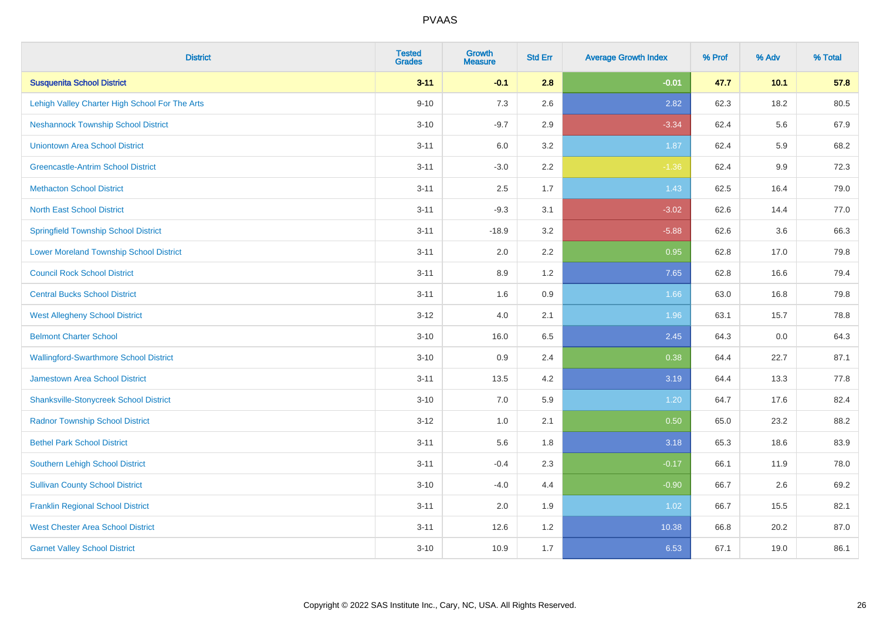| <b>District</b>                                | <b>Tested</b><br><b>Grades</b> | <b>Growth</b><br><b>Measure</b> | <b>Std Err</b> | <b>Average Growth Index</b> | % Prof | % Adv | % Total |
|------------------------------------------------|--------------------------------|---------------------------------|----------------|-----------------------------|--------|-------|---------|
| <b>Susquenita School District</b>              | $3 - 11$                       | $-0.1$                          | 2.8            | $-0.01$                     | 47.7   | 10.1  | 57.8    |
| Lehigh Valley Charter High School For The Arts | $9 - 10$                       | 7.3                             | 2.6            | 2.82                        | 62.3   | 18.2  | 80.5    |
| <b>Neshannock Township School District</b>     | $3 - 10$                       | $-9.7$                          | 2.9            | $-3.34$                     | 62.4   | 5.6   | 67.9    |
| <b>Uniontown Area School District</b>          | $3 - 11$                       | 6.0                             | 3.2            | 1.87                        | 62.4   | 5.9   | 68.2    |
| <b>Greencastle-Antrim School District</b>      | $3 - 11$                       | $-3.0$                          | 2.2            | $-1.36$                     | 62.4   | 9.9   | 72.3    |
| <b>Methacton School District</b>               | $3 - 11$                       | 2.5                             | 1.7            | 1.43                        | 62.5   | 16.4  | 79.0    |
| <b>North East School District</b>              | $3 - 11$                       | $-9.3$                          | 3.1            | $-3.02$                     | 62.6   | 14.4  | 77.0    |
| <b>Springfield Township School District</b>    | $3 - 11$                       | $-18.9$                         | 3.2            | $-5.88$                     | 62.6   | 3.6   | 66.3    |
| <b>Lower Moreland Township School District</b> | $3 - 11$                       | 2.0                             | 2.2            | 0.95                        | 62.8   | 17.0  | 79.8    |
| <b>Council Rock School District</b>            | $3 - 11$                       | 8.9                             | 1.2            | 7.65                        | 62.8   | 16.6  | 79.4    |
| <b>Central Bucks School District</b>           | $3 - 11$                       | 1.6                             | 0.9            | 1.66                        | 63.0   | 16.8  | 79.8    |
| <b>West Allegheny School District</b>          | $3 - 12$                       | 4.0                             | 2.1            | 1.96                        | 63.1   | 15.7  | 78.8    |
| <b>Belmont Charter School</b>                  | $3 - 10$                       | 16.0                            | 6.5            | 2.45                        | 64.3   | 0.0   | 64.3    |
| <b>Wallingford-Swarthmore School District</b>  | $3 - 10$                       | 0.9                             | 2.4            | 0.38                        | 64.4   | 22.7  | 87.1    |
| <b>Jamestown Area School District</b>          | $3 - 11$                       | 13.5                            | 4.2            | 3.19                        | 64.4   | 13.3  | 77.8    |
| <b>Shanksville-Stonycreek School District</b>  | $3 - 10$                       | 7.0                             | 5.9            | 1.20                        | 64.7   | 17.6  | 82.4    |
| <b>Radnor Township School District</b>         | $3 - 12$                       | 1.0                             | 2.1            | 0.50                        | 65.0   | 23.2  | 88.2    |
| <b>Bethel Park School District</b>             | $3 - 11$                       | 5.6                             | 1.8            | 3.18                        | 65.3   | 18.6  | 83.9    |
| Southern Lehigh School District                | $3 - 11$                       | $-0.4$                          | 2.3            | $-0.17$                     | 66.1   | 11.9  | 78.0    |
| <b>Sullivan County School District</b>         | $3 - 10$                       | $-4.0$                          | 4.4            | $-0.90$                     | 66.7   | 2.6   | 69.2    |
| <b>Franklin Regional School District</b>       | $3 - 11$                       | 2.0                             | 1.9            | 1.02                        | 66.7   | 15.5  | 82.1    |
| <b>West Chester Area School District</b>       | $3 - 11$                       | 12.6                            | 1.2            | 10.38                       | 66.8   | 20.2  | 87.0    |
| <b>Garnet Valley School District</b>           | $3 - 10$                       | 10.9                            | 1.7            | 6.53                        | 67.1   | 19.0  | 86.1    |